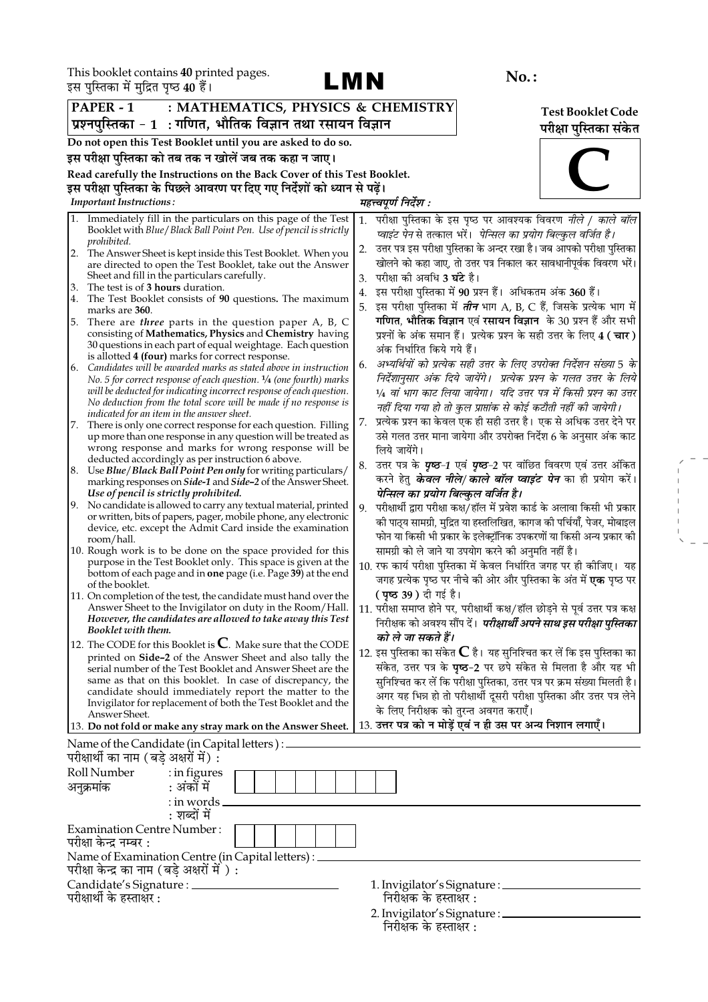

 $\begin{aligned} \mathcal{L}_{\text{max}} = \frac{1}{2} \left( \frac{1}{2} \right) \\ \mathcal{L}_{\text{max}} = \frac{1}{2} \left( \frac{1}{2} \right) \\ \mathcal{L}_{\text{max}} = \frac{1}{2} \left( \frac{1}{2} \right) \\ \mathcal{L}_{\text{max}} = \frac{1}{2} \end{aligned}$ 

|    | इस पुस्तिका म मुद्रित पृष्ठ 40 है।                                                                |                |                                                                                                                                          |          |                                      |                                                             |                                                                                  |
|----|---------------------------------------------------------------------------------------------------|----------------|------------------------------------------------------------------------------------------------------------------------------------------|----------|--------------------------------------|-------------------------------------------------------------|----------------------------------------------------------------------------------|
|    | PAPER - 1                                                                                         |                | : MATHEMATICS, PHYSICS & CHEMISTRY                                                                                                       |          |                                      |                                                             | <b>Test Booklet Code</b>                                                         |
|    |                                                                                                   |                | प्रश्नपुस्तिका - 1  : गणित, भौतिक विज्ञान तथा रसायन विज्ञान                                                                              |          |                                      |                                                             | परीक्षा पुस्तिका संकेत                                                           |
|    | Do not open this Test Booklet until you are asked to do so.                                       |                |                                                                                                                                          |          |                                      |                                                             |                                                                                  |
|    | इस परीक्षा पुस्तिका को तब तक न खोलें जब तक कहा न जाए।                                             |                |                                                                                                                                          |          |                                      |                                                             |                                                                                  |
|    |                                                                                                   |                | Read carefully the Instructions on the Back Cover of this Test Booklet.                                                                  |          |                                      |                                                             |                                                                                  |
|    |                                                                                                   |                | इस परीक्षा पुस्तिका के पिछले आवरण पर दिए गए निर्देशों को ध्यान से पढ़ें।                                                                 |          |                                      |                                                             |                                                                                  |
|    | <b>Important Instructions:</b>                                                                    |                |                                                                                                                                          |          | महत्त्वपूर्ण निर्देश :               |                                                             |                                                                                  |
|    |                                                                                                   |                | Immediately fill in the particulars on this page of the Test                                                                             | 1.       |                                      |                                                             | परीक्षा पुस्तिका के इस पृष्ठ पर आवश्यक विवरण <i>नीले / काले बॉल</i>              |
|    | prohibited.                                                                                       |                | Booklet with Blue / Black Ball Point Pen. Use of pencil is strictly                                                                      |          |                                      |                                                             | प्वाइंट पेन से तत्काल भरें। <i>पेन्सिल का प्रयोग बिल्कुल वर्जित है।</i>          |
| 2. |                                                                                                   |                | The Answer Sheet is kept inside this Test Booklet. When you                                                                              | 2.       |                                      |                                                             | उत्तर पत्र इस परीक्षा पुस्तिका के अन्दर रखा है। जब आपको परीक्षा पुस्तिका         |
|    | Sheet and fill in the particulars carefully.                                                      |                | are directed to open the Test Booklet, take out the Answer                                                                               |          | परीक्षा को अवधि <b>3 घंटे</b> है।    |                                                             | खोलने को कहा जाए, तो उत्तर पत्र निकाल कर सावधानीपूर्वक विवरण भरें।               |
| 3. | The test is of 3 hours duration.                                                                  |                |                                                                                                                                          | 3.<br>4. |                                      | इस परीक्षा पुस्तिका में 90 प्रश्न हैं। अधिकतम अंक 360 हैं।  |                                                                                  |
| 4. |                                                                                                   |                | The Test Booklet consists of 90 questions. The maximum                                                                                   | 5.       |                                      |                                                             | इस परीक्षा पुस्तिका में <i>तीन</i> भाग A, B, C हैं, जिसके प्रत्येक भाग में       |
| 5. | marks are 360.                                                                                    |                | There are <i>three</i> parts in the question paper A, B, C                                                                               |          |                                      |                                                             | गणित, भौतिक विज्ञान एवं रसायन विज्ञान के 30 प्रश्न हैं और सभी                    |
|    |                                                                                                   |                | consisting of Mathematics, Physics and Chemistry having                                                                                  |          |                                      |                                                             | प्रश्नों के अंक समान हैं। प्रत्येक प्रश्न के सही उत्तर के लिए 4 (चार)            |
|    |                                                                                                   |                | 30 questions in each part of equal weightage. Each question                                                                              |          | अंक निर्धारित किये गये हैं।          |                                                             |                                                                                  |
| 6. | is allotted 4 (four) marks for correct response.                                                  |                | Candidates will be awarded marks as stated above in instruction                                                                          | 6.       |                                      |                                                             | अभ्यर्थियों को प्रत्येक सही उत्तर के लिए उपरोक्त निर्देशन संख्या 5 के            |
|    |                                                                                                   |                | No. 5 for correct response of each question. $\frac{1}{4}$ (one fourth) marks                                                            |          |                                      |                                                             | निर्देशानुसार अंक दिये जायेंगे।  प्रत्येक प्रश्न के गलत उत्तर के लिये            |
|    |                                                                                                   |                | will be deducted for indicating incorrect response of each question.<br>No deduction from the total score will be made if no response is |          |                                      |                                                             | 1/4 वां भाग काट लिया जायेगा।  यदि उत्तर पत्र में किसी प्रश्न का उत्तर            |
|    | indicated for an item in the answer sheet.                                                        |                |                                                                                                                                          |          |                                      |                                                             | नहीं दिया गया हो तो कुल प्राप्तांक से कोई कटौती नहीं की जायेगी।                  |
| 7. |                                                                                                   |                | There is only one correct response for each question. Filling                                                                            | 7.       |                                      |                                                             | प्रत्येक प्रश्न का केवल एक ही सही उत्तर है। एक से अधिक उत्तर देने पर             |
|    |                                                                                                   |                | up more than one response in any question will be treated as<br>wrong response and marks for wrong response will be                      |          | लिये जायेंगे।                        |                                                             | उसे गलत उत्तर माना जायेगा और उपरोक्त निर्देश 6 के अनुसार अंक काट                 |
|    | deducted accordingly as per instruction 6 above.                                                  |                |                                                                                                                                          | 8.       |                                      |                                                             | उत्तर पत्र के <i>पृष्ठ-1</i> एवं <i>पृष्ठ-2</i> पर वांछित विवरण एवं उत्तर अंकित  |
|    |                                                                                                   |                | 8. Use Blue/Black Ball Point Pen only for writing particulars/                                                                           |          |                                      |                                                             | करने हेतु <b>के<i>वल नीले/ काले बॉल प्वाइंट पेन</i> का</b> ही प्रयोग करें।       |
|    | Use of pencil is strictly prohibited.                                                             |                | marking responses on Side-1 and Side-2 of the Answer Sheet.                                                                              |          | पेन्सिल का प्रयोग बिल्कुल वर्जित है। |                                                             |                                                                                  |
| 9. |                                                                                                   |                | No candidate is allowed to carry any textual material, printed                                                                           | 9.       |                                      |                                                             | परीक्षार्थी द्वारा परीक्षा कक्ष/हॉल में प्रवेश कार्ड के अलावा किसी भी प्रकार     |
|    |                                                                                                   |                | or written, bits of papers, pager, mobile phone, any electronic<br>device, etc. except the Admit Card inside the examination             |          |                                      |                                                             | को पाठ्य सामग्री, मुद्रित या हस्तलिखित, कागज को पर्चियाँ, पेजर, मोबाइल           |
|    | room/hall.                                                                                        |                |                                                                                                                                          |          |                                      |                                                             | फोन या किसी भी प्रकार के इलेक्ट्रॉनिक उपकरणों या किसी अन्य प्रकार की             |
|    |                                                                                                   |                | 10. Rough work is to be done on the space provided for this                                                                              |          |                                      | सामग्री को ले जाने या उपयोग करने की अनुमति नहीं है।         |                                                                                  |
|    |                                                                                                   |                | purpose in the Test Booklet only. This space is given at the<br>bottom of each page and in <b>one</b> page (i.e. Page 39) at the end     |          |                                      |                                                             | 10. रफ कार्य परीक्षा पुस्तिका में केवल निर्धारित जगह पर ही कीजिए। यह             |
|    | of the booklet.                                                                                   |                |                                                                                                                                          |          |                                      |                                                             | जगह प्रत्येक पृष्ठ पर नीचे की ओर और पुस्तिका के अंत में <b>एक</b> पृष्ठ पर       |
|    |                                                                                                   |                | 11. On completion of the test, the candidate must hand over the                                                                          |          | <b>( पृष्ठ 39 )</b> दी गई है।        |                                                             |                                                                                  |
|    |                                                                                                   |                | Answer Sheet to the Invigilator on duty in the Room/Hall.<br>However, the candidates are allowed to take away this Test                  |          |                                      |                                                             | 11. परीक्षा समाप्त होने पर, परीक्षार्थी कक्ष/हॉल छोड़ने से पूर्व उत्तर पत्र कक्ष |
|    | Booklet with them.                                                                                |                |                                                                                                                                          |          | को ले जा सकते हैं।                   |                                                             | निरीक्षक को अवश्य सौंप दें। <i>परीक्षार्थी अपने साथ इस परीक्षा पुस्तिका</i>      |
|    |                                                                                                   |                | 12. The CODE for this Booklet is $\mathbb C$ . Make sure that the CODE                                                                   |          |                                      |                                                             | 12. इस पुस्तिका का संकेत ${\mathbf C}$ है। यह सुनिश्चित कर लें कि इस पुस्तिका का |
|    |                                                                                                   |                | printed on Side-2 of the Answer Sheet and also tally the<br>serial number of the Test Booklet and Answer Sheet are the                   |          |                                      |                                                             | संकेत, उत्तर पत्र के पृष्ठ-2 पर छपे संकेत से मिलता है और यह भी                   |
|    |                                                                                                   |                | same as that on this booklet. In case of discrepancy, the                                                                                |          |                                      |                                                             | सुनिश्चित कर लें कि परीक्षा पुस्तिका, उत्तर पत्र पर क्रम संख्या मिलती है।        |
|    |                                                                                                   |                | candidate should immediately report the matter to the                                                                                    |          |                                      |                                                             | अगर यह भिन्न हो तो परीक्षार्थी दूसरी परीक्षा पुस्तिका और उत्तर पत्र लेने         |
|    | Answer Sheet.                                                                                     |                | Invigilator for replacement of both the Test Booklet and the                                                                             |          |                                      | के लिए निरीक्षक को तुरन्त अवगत कराएँ।                       |                                                                                  |
|    |                                                                                                   |                | 13. Do not fold or make any stray mark on the Answer Sheet.                                                                              |          |                                      | 13. उत्तर पत्र को न मोड़ें एवं न ही उस पर अन्य निशान लगाएँ। |                                                                                  |
|    | Name of the Candidate (in Capital letters) : _<br>परीक्षार्थी का नाम (बडे अक्षरों में) :          |                |                                                                                                                                          |          |                                      |                                                             |                                                                                  |
|    | Roll Number                                                                                       | $:$ in figures |                                                                                                                                          |          |                                      |                                                             |                                                                                  |
|    | अनुक्रमांक                                                                                        | : अंकों में    |                                                                                                                                          |          |                                      |                                                             |                                                                                  |
|    |                                                                                                   | : in words _   |                                                                                                                                          |          |                                      |                                                             |                                                                                  |
|    |                                                                                                   | : शब्दों में   |                                                                                                                                          |          |                                      |                                                             |                                                                                  |
|    | <b>Examination Centre Number:</b><br>परीक्षा केन्द्र नम्बर :                                      |                |                                                                                                                                          |          |                                      |                                                             |                                                                                  |
|    | Name of Examination Centre (in Capital letters) :<br>परीक्षा केन्द्र का नाम (बड़े अक्षरों में ) : |                |                                                                                                                                          |          |                                      |                                                             |                                                                                  |
|    | Candidate's Signature : ______                                                                    |                |                                                                                                                                          |          |                                      | 1. Invigilator's Signature : __________                     |                                                                                  |
|    | परीक्षार्थी के हस्ताक्षर:                                                                         |                |                                                                                                                                          |          | निरीक्षक के हस्ताक्षर :              |                                                             |                                                                                  |

निरीक्षॅक के हस्तांक्षर :<br>2. Invigilator's Signature : \_<br>निरीक्षक के हस्ताक्षर :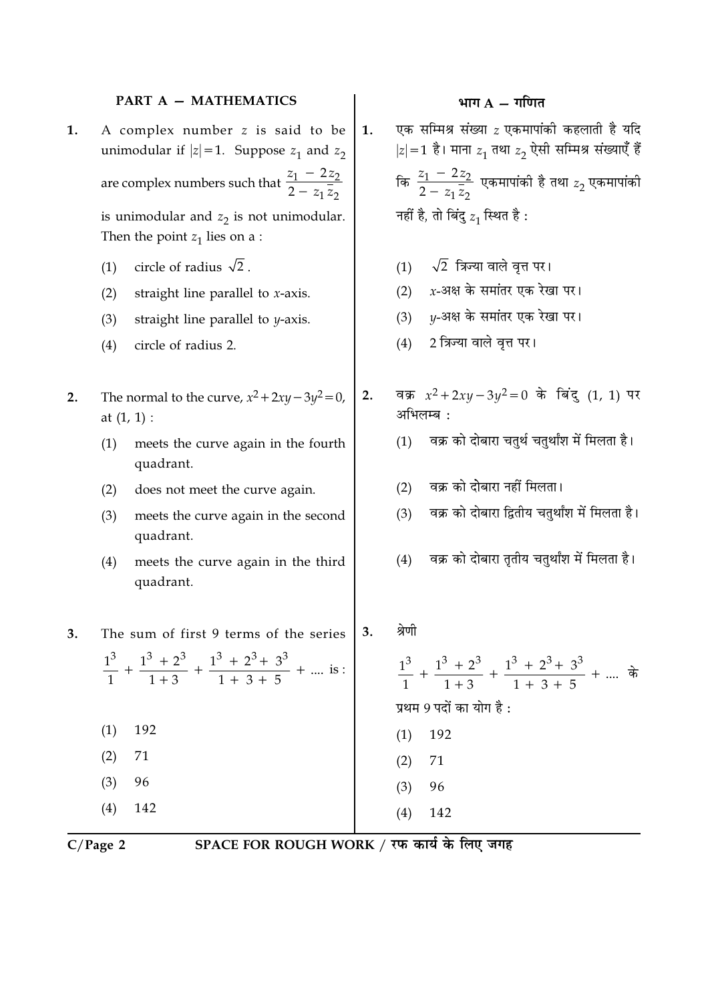#### **PART A - MATHEMATICS**

- A complex number z is said to be 1. unimodular if  $|z|=1$ . Suppose  $z_1$  and  $z_2$ are complex numbers such that  $\frac{z_1 - 2z_2}{2 - z_1 \overline{z_2}}$ is unimodular and  $z_2$  is not unimodular. Then the point  $z_1$  lies on a :
	- circle of radius  $\sqrt{2}$ .  $(1)$
	- straight line parallel to  $x$ -axis.  $(2)$
	- straight line parallel to  $y$ -axis.  $(3)$
	- circle of radius 2.  $(4)$
- The normal to the curve,  $x^2 + 2xy 3y^2 = 0$ ,  $2.$ at  $(1, 1)$  :
	- meets the curve again in the fourth  $(1)$ quadrant.
	- does not meet the curve again.  $(2)$
	- meets the curve again in the second  $(3)$ quadrant.
	- $(4)$ meets the curve again in the third quadrant.
- The sum of first 9 terms of the series  $3.$

 $\frac{1^3}{1}$  +  $\frac{1^3 + 2^3}{1 + 3}$  +  $\frac{1^3 + 2^3 + 3^3}{1 + 3 + 5}$  + .... is:  $(1)$ 192  $(2)$ 71  $(3)$ 96

 $C/Page$  2

 $(4)$ 

142

SPACE FOR ROUGH WORK / रफ कार्य के लिए जगह

 $(4)$ 

142

## भाग  $A - \overline{\eta}$ गणित

एक सम्मिश्र संख्या  $z$  एकमापांकी कहलाती है यदि  $\mathbf{1}$ .  $|z|=1$  है। माना  $z_1$  तथा  $z_2$  ऐसी सम्मिश्र संख्याएँ हैं कि  $\frac{z_1 - 2z_2}{2 - z_1 \overline{z_2}}$  एकमापांकी है तथा  $z_2$  एकमापांकी नहीं है, तो बिंदु  $z_1$  स्थित है:  $\sqrt{2}$  त्रिज्या वाले वृत्त पर।  $(1)$  $x$ -अक्ष के समांतर एक रेखा पर।  $(2)$ y-अक्ष के समांतर एक रेखा पर।  $(3)$ 2 त्रिज्या वाले वृत्त पर।  $(4)$ वक्र  $x^2 + 2xy - 3y^2 = 0$  के बिंदु (1, 1) पर  $2.$ अभिलम्ब : वक्र को दोबारा चतुर्थ चतुर्थांश में मिलता है।  $(1)$ वक्र को दोबारा नहीं मिलता।  $(2)$ वक्र को दोबारा द्वितीय चतुर्थांश में मिलता है।  $(3)$ वक्र को दोबारा ततीय चतर्थांश में मिलता है।  $(4)$ श्रेणी  $3.$  $\frac{1^3}{1}$  +  $\frac{1^3 + 2^3}{1 + 3}$  +  $\frac{1^3 + 2^3 + 3^3}{1 + 3 + 5}$  + ....  $\frac{1}{9}$ प्रथम 9 पदों का योग है:  $(1)$  192  $(2)$ 71  $(3)$ 96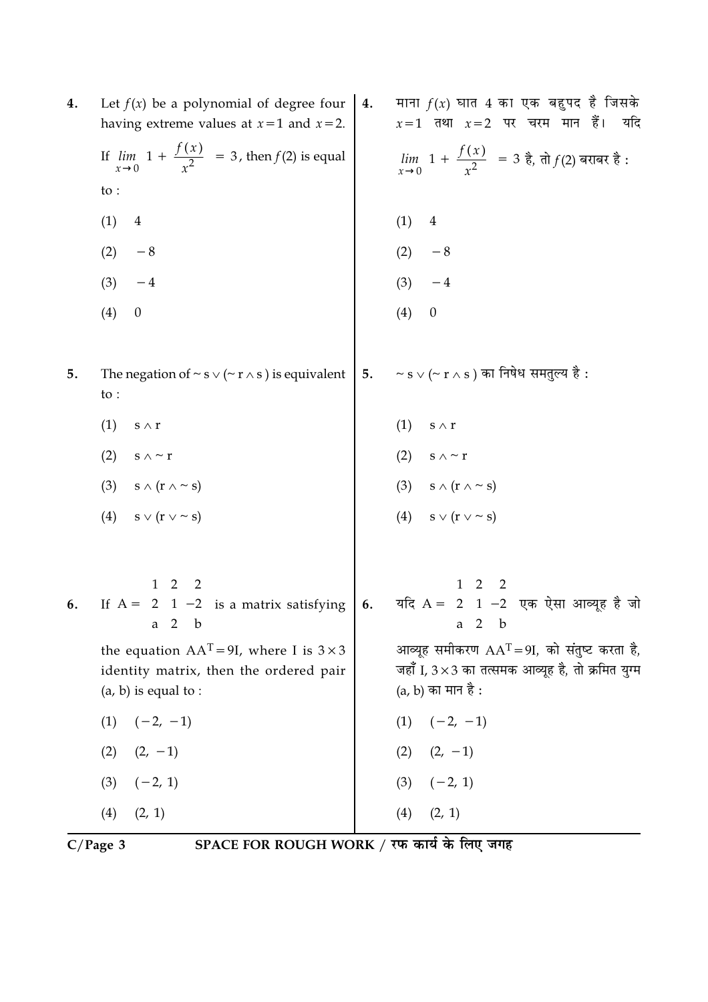| 4. | Let $f(x)$ be a polynomial of degree four<br>having extreme values at $x=1$ and $x=2$ .                               | 4. | माना $f(x)$ घात 4 का एक बहुपद है जिसके<br>$x=1$ तथा $x=2$ पर चरम मान हैं।<br>यदि                                                    |
|----|-----------------------------------------------------------------------------------------------------------------------|----|-------------------------------------------------------------------------------------------------------------------------------------|
|    | If $\lim_{x\to 0} \left[1 + \frac{f(x)}{x^2}\right] = 3$ , then $f(2)$ is equal                                       |    | $\lim_{x\to 0}$ 1 + $\frac{f(x)}{x^2}$ = 3 है, तो $f(2)$ बराबर है:                                                                  |
|    | to :                                                                                                                  |    |                                                                                                                                     |
|    | (1)<br>$\overline{4}$                                                                                                 |    | (1)<br>$\overline{4}$                                                                                                               |
|    | (2)<br>$-8$                                                                                                           |    | (2)                                                                                                                                 |
|    | $(3)$ -4                                                                                                              |    | (2) $-8$<br>(3) $-4$                                                                                                                |
|    | (4)<br>$\boldsymbol{0}$                                                                                               |    | (4)<br>$\boldsymbol{0}$                                                                                                             |
| 5. | The negation of $\sim$ s $\vee$ ( $\sim$ r $\wedge$ s) is equivalent<br>$\mathsf{to}$ :                               | 5. | $\sim$ s $\lor$ ( $\sim$ r $\land$ s) का निषेध समतुल्य है :                                                                         |
|    | (1)<br>$s \mathrel{\wedge} r$                                                                                         |    | (1)<br>$\mathbf{s}\wedge\mathbf{r}$                                                                                                 |
|    | (2)<br>s $\wedge$ ~ r                                                                                                 |    | (2) $s \wedge \sim r$                                                                                                               |
|    | (3) $s \wedge (r \wedge \sim s)$                                                                                      |    | (3) $s \wedge (r \wedge \sim s)$<br>(4) $s \vee (r \vee \sim s)$                                                                    |
|    | (4) $s \vee (r \vee \sim s)$                                                                                          |    |                                                                                                                                     |
| 6. | If $A = \begin{bmatrix} 1 & 2 & 2 \\ 2 & 1 & -2 \\ a & 2 & b \end{bmatrix}$ is a matrix satisfying                    |    | 6. यदि A = $\begin{bmatrix} 1 & 2 & 2 \\ 2 & 1 & -2 \\ a & 2 & b \end{bmatrix}$ एक ऐसा आव्यूह है जो                                 |
|    | the equation $AAT = 9I$ , where I is $3 \times 3$<br>identity matrix, then the ordered pair<br>$(a, b)$ is equal to : |    | आव्यूह समीकरण $AAT = 9I$ , को संतुष्ट करता है,<br>जहाँ I, $3 \times 3$ का तत्समक आव्यूह है, तो क्रमित युग्म<br>$(a, b)$ का मान है : |
|    | $(1) \quad (-2, -1)$                                                                                                  |    | (1)<br>$(-2, -1)$                                                                                                                   |
|    | $(2)$ $(2, -1)$                                                                                                       |    | $(2)$ $(2, -1)$                                                                                                                     |
|    | $(-2, 1)$<br>(3)                                                                                                      |    | $(3)$ $(-2, 1)$                                                                                                                     |
|    | (2, 1)<br>(4)                                                                                                         |    | (4)<br>(2, 1)                                                                                                                       |

 $\overline{C/Page 3}$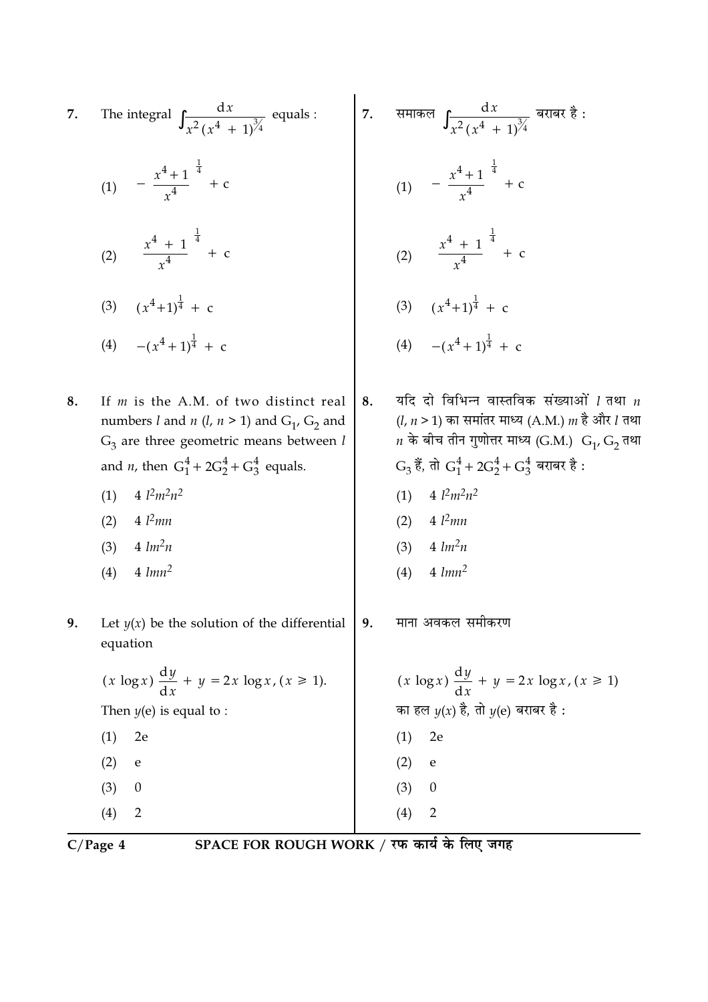7. The integral 
$$
\int \frac{dx}{x^2(x^4 + 1)^3} = \int \frac{dx}{x^2(x^4 + 1)^3} = \int \frac{dx}{x^2(x^4 + 1)^3} = \int \frac{dx}{x^2(x^4 + 1)^3} = \int \frac{dx}{x^4(x^4 + 1)^3} = \int \frac{dx}{x^4(x^4 + 1)^4} = \int \frac{dx}{x^4} = \int \frac{dx}{x^4} = \int \frac{dx}{x^4} = \int \frac{dx}{x^4} = \int \frac{dx}{x^4} = \int \frac{dx}{x^4} = \int \frac{dx}{x^4} = \int \frac{dx}{x^4} = \int \frac{dx}{x^4} = \int \frac{dx}{x^4} = \int \frac{dx}{x^4} = \int \frac{dx}{x^4} = \int \frac{dx}{x^4} = \int \frac{dx}{x^4} = \int \frac{dx}{x^4} = \int \frac{dx}{x^4} = \int \frac{dx}{x^4} = \int \frac{dx}{x^4} = \int \frac{dx}{x^4} = \int \frac{dx}{x^4} = \int \frac{dx}{x^4} = \int \frac{dx}{x^4} = \int \frac{dx}{x^4} = \int \frac{dx}{x^4} = \int \frac{dx}{x^4} = \int \frac{dx}{x^4} = \int \frac{dx}{x^4} = \int \frac{dx}{x^4} = \int \frac{dx}{x^4} = \int \frac{dx}{x^4} = \int \frac{dx}{x^4} = \int \frac{dx}{x^4} = \int \frac{dx}{x^4} = \int \frac{dx}{x^4} = \int \frac{dx}{x^4} = \int \frac{dx}{x^4} = \int \frac{dx}{x^4} = \int \frac{dx}{x^4} = \int \frac{dx}{x^4} = \int \frac{dx}{x^4} = \int \frac{dx}{x^4} = \int \frac{dx}{x^4} = \int \frac{dx}{x^4} = \int \frac{dx}{x^4} = \int \frac{dx}{x^4} = \int \frac{dx}{x^4} = \int \frac{dx}{x^4} = \int \frac{dx}{x^4} = \int \frac{dx}{x^4} = \int \frac{dx}{x^4} = \int \frac{dx}{x^4} = \int \frac{dx}{x^4} = \int \frac{dx}{x^4} = \int \
$$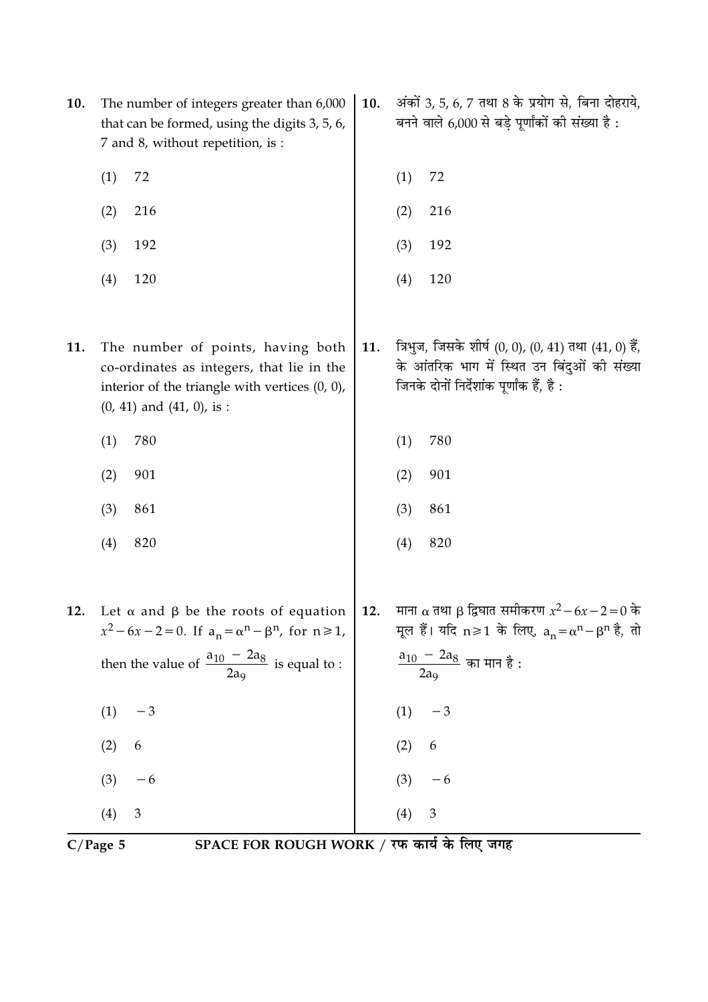| 10. | The number of integers greater than 6,000<br>that can be formed, using the digits 3, 5, 6,<br>7 and 8, without repetition, is :                                                           | 10. | अंकों 3, 5, 6, 7 तथा 8 के प्रयोग से, बिना दोहराये,<br>बनने वाले 6,000 से बड़े पूर्णांकों की संख्या है :                                                                                   |
|-----|-------------------------------------------------------------------------------------------------------------------------------------------------------------------------------------------|-----|-------------------------------------------------------------------------------------------------------------------------------------------------------------------------------------------|
|     | 72<br>(1)                                                                                                                                                                                 |     | 72<br>(1)                                                                                                                                                                                 |
|     | (2)<br>216                                                                                                                                                                                |     | (2)<br>216                                                                                                                                                                                |
|     | 192<br>(3)                                                                                                                                                                                |     | 192<br>(3)                                                                                                                                                                                |
|     | 120<br>(4)                                                                                                                                                                                |     | 120<br>(4)                                                                                                                                                                                |
| 11. | The number of points, having both<br>co-ordinates as integers, that lie in the<br>interior of the triangle with vertices $(0, 0)$ ,<br>$(0, 41)$ and $(41, 0)$ , is :                     | 11. | त्रिभुज, जिसके शीर्ष (0, 0), (0, 41) तथा (41, 0) हैं,<br>के आंतरिक भाग में स्थित उन बिंदुओं की संख्या<br>जिनके दोनों निर्देशांक पूर्णांक हैं, है :                                        |
|     | (1)<br>780                                                                                                                                                                                |     | 780<br>(1)                                                                                                                                                                                |
|     | 901<br>(2)                                                                                                                                                                                |     | 901<br>(2)                                                                                                                                                                                |
|     | (3)<br>861                                                                                                                                                                                |     | (3)<br>861                                                                                                                                                                                |
|     | 820<br>(4)                                                                                                                                                                                |     | 820<br>(4)                                                                                                                                                                                |
| 12. | Let $\alpha$ and $\beta$ be the roots of equation<br>$x^2 - 6x - 2 = 0$ . If $a_n = \alpha^n - \beta^n$ , for $n \ge 1$ ,<br>then the value of $\frac{a_{10} - 2a_8}{2a_9}$ is equal to : | 12. | माना α तथा β द्विघात समीकरण $x^2 - 6x - 2 = 0$ के<br>मूल हैं। यदि n≥1 के लिए, $a_n = \alpha^n - \beta^n$ है, तो<br>$\frac{a_{10} - 2a_8}{a_{10} + a_{10}}$ का मान है :<br>2a <sub>9</sub> |
|     | (1)<br>$-3$                                                                                                                                                                               |     | $-3$<br>(1)                                                                                                                                                                               |
|     | 6<br>(2)                                                                                                                                                                                  |     | (2)<br>$\boldsymbol{6}$                                                                                                                                                                   |
|     | (3)<br>$-6$                                                                                                                                                                               |     | $-6$<br>(3)                                                                                                                                                                               |
|     | $\mathbf{3}$<br>(4)                                                                                                                                                                       |     | $\mathfrak{Z}$<br>(4)                                                                                                                                                                     |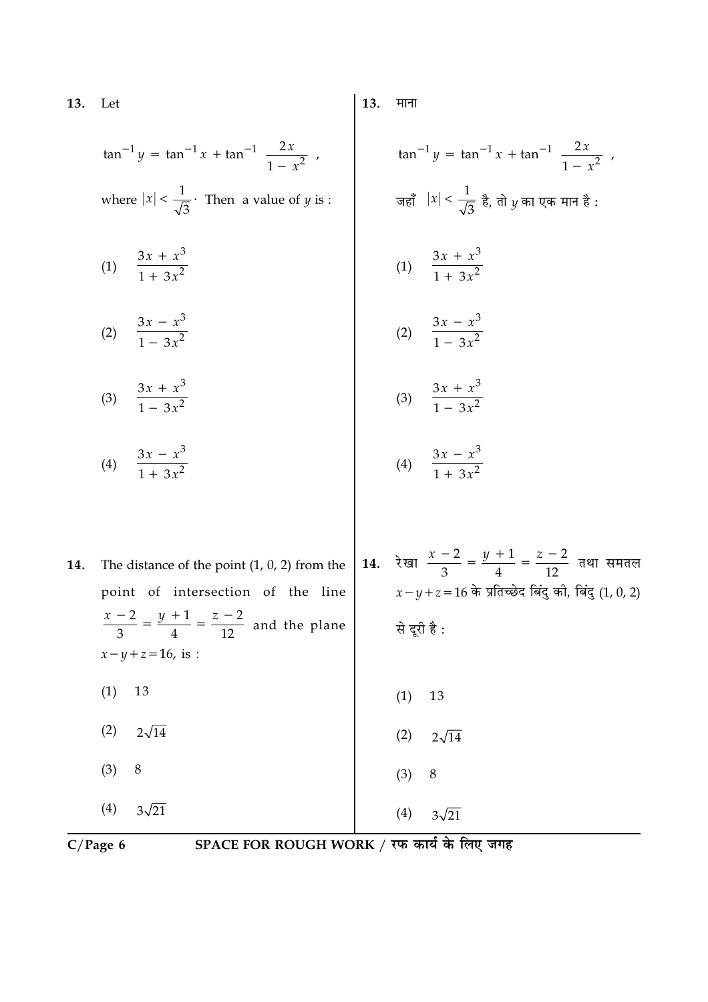13. Let

> $\tan^{-1} y = \tan^{-1} x + \tan^{-1} \left( \frac{2x}{1 - x^2} \right)$ where  $|x| < \frac{1}{\sqrt{3}}$ . Then a value of *y* is :

- (1)  $\frac{3x + x^3}{1 + 3x^2}$
- (2)  $\frac{3x x^3}{1 3x^2}$ (2)  $\frac{3x - x^3}{1 - 3x^2}$
- (3)  $\frac{3x + x^3}{1 3x^2}$ (3)  $\frac{3x + x^3}{1 - 3x^2}$
- (4)  $\frac{3x x^3}{1 + 3x^2}$ (4)  $\frac{3x - x^3}{1 + 3x^2}$
- 14. रेखा  $\frac{x-2}{3} = \frac{y+1}{4} = \frac{z-2}{12}$  तथा समतल The distance of the point  $(1, 0, 2)$  from the 14.  $x - y + z = 16$  के प्रतिच्छेद बिंदु की, बिंदु (1, 0, 2) point of intersection of the line  $\frac{x-2}{3} = \frac{y+1}{4} = \frac{z-2}{12}$  and the plane से दूरी है:  $x - y + z = 16$ , is :  $(1)$ 13  $(1)$ 13  $(2)$  $2\sqrt{14}$  $(2)$  $2\sqrt{14}$  $(3)$ 8  $(3)$ 8  $(4)$  $3\sqrt{21}$  $(4)$  $3\sqrt{21}$

 $C/Page$  6

SPACE FOR ROUGH WORK / रफ कार्य के लिए जगह

13. माना

 $\tan^{-1} y = \tan^{-1} x + \tan^{-1} \left( \frac{2x}{1-x^2} \right)$ 

जहाँ  $|x| < \frac{1}{\sqrt{3}}$  है, तो  $y$  का एक मान है :

(1)  $\frac{3x + x^3}{1 + 3x^2}$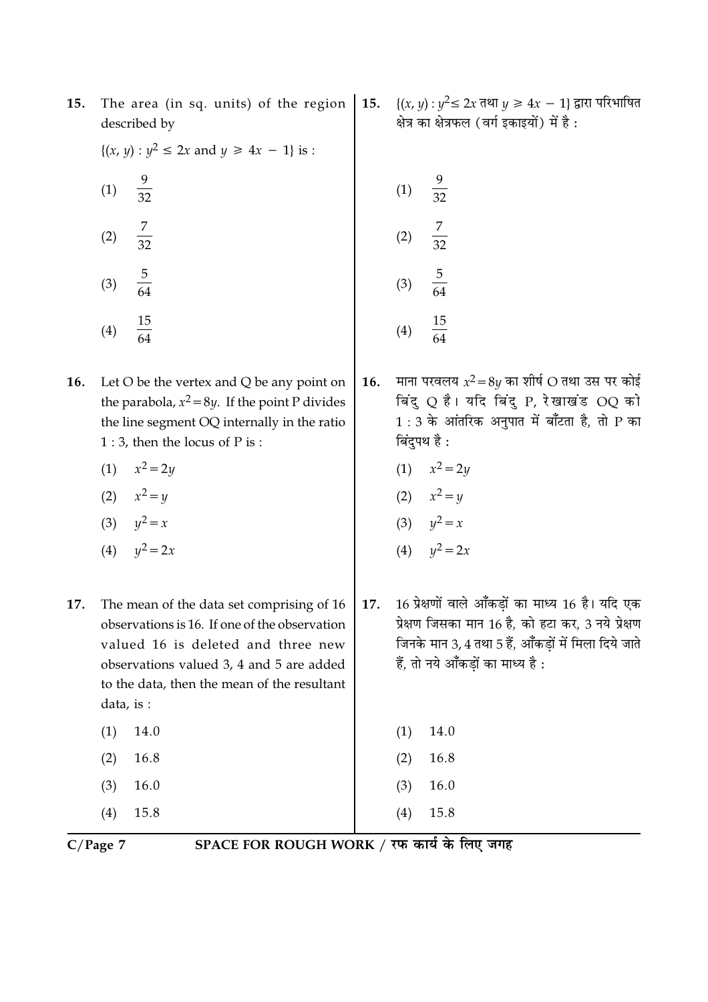| $C/Page$ 7 | SPACE FOR ROUGH WORK / रफ कार्य के लिए जगह                                                                                                                                                                                                |     |                                                                                                                                                                                                       |
|------------|-------------------------------------------------------------------------------------------------------------------------------------------------------------------------------------------------------------------------------------------|-----|-------------------------------------------------------------------------------------------------------------------------------------------------------------------------------------------------------|
|            | 15.8<br>(4)                                                                                                                                                                                                                               |     | 15.8<br>(4)                                                                                                                                                                                           |
|            | 16.0<br>(3)                                                                                                                                                                                                                               |     | 16.0<br>(3)                                                                                                                                                                                           |
|            | 16.8<br>(2)                                                                                                                                                                                                                               |     | 16.8<br>(2)                                                                                                                                                                                           |
|            | 14.0<br>(1)                                                                                                                                                                                                                               |     | 14.0<br>(1)                                                                                                                                                                                           |
| 17.        | The mean of the data set comprising of 16<br>observations is 16. If one of the observation<br>valued 16 is deleted and three new<br>observations valued 3, 4 and 5 are added<br>to the data, then the mean of the resultant<br>data, is : | 17. | 16 प्रेक्षणों वाले आँकड़ों का माध्य 16 है। यदि एक<br>प्रेक्षण जिसका मान 16 है, को हटा कर, 3 नये प्रेक्षण<br>जिनके मान 3, 4 तथा 5 हैं, आँकड़ों में मिला दिये जाते<br>हैं, तो नये आँकड़ों का माध्य है : |
|            | (4) $y^2 = 2x$                                                                                                                                                                                                                            |     | (4) $y^2 = 2x$                                                                                                                                                                                        |
|            | (3) $y^2 = x$                                                                                                                                                                                                                             |     | (3) $y^2 = x$                                                                                                                                                                                         |
|            | (2) $x^2 = y$                                                                                                                                                                                                                             |     | (2) $x^2 = y$                                                                                                                                                                                         |
|            | (1)<br>$x^2 = 2y$                                                                                                                                                                                                                         |     | (1) $x^2 = 2y$                                                                                                                                                                                        |
| 16.        | Let $O$ be the vertex and $Q$ be any point on<br>the parabola, $x^2 = 8y$ . If the point P divides<br>the line segment OQ internally in the ratio<br>$1:3$ , then the locus of P is :                                                     | 16. | माना परवलय $x^2 = 8y$ का शीर्ष O तथा उस पर कोई<br>बिंदु Q है। यदि बिंदु P, रेखाखंड OQ को<br>$1:3$ के आंतरिक अनुपात में बाँटता है, तो P का<br>बिंदुपथ है :                                             |
|            | $\frac{15}{64}$<br>(4)                                                                                                                                                                                                                    |     | $\frac{15}{64}$<br>(4)                                                                                                                                                                                |
|            | $\frac{5}{64}$<br>(3)                                                                                                                                                                                                                     |     | $\frac{5}{64}$<br>(3)                                                                                                                                                                                 |
|            | $\frac{7}{32}$<br>(2)                                                                                                                                                                                                                     |     | $\frac{7}{32}$<br>(2)                                                                                                                                                                                 |
|            | (1)<br>$\frac{1}{32}$                                                                                                                                                                                                                     |     | $\frac{9}{32}$<br>(1)                                                                                                                                                                                 |
|            |                                                                                                                                                                                                                                           |     |                                                                                                                                                                                                       |

The area (in sq. units) of the region | 15.  $\{(x, y): y^2 \le 2x \text{ and } y \ge 4x - 1\}$  द्वारा परिभाषित 15. described by

 $\{(x, y) : y^2 \le 2x \text{ and } y \ge 4x - 1\} \text{ is :}$ 

ः<br>क्षेत्र का क्षेत्रफल (वर्ग इकाइयों) में है :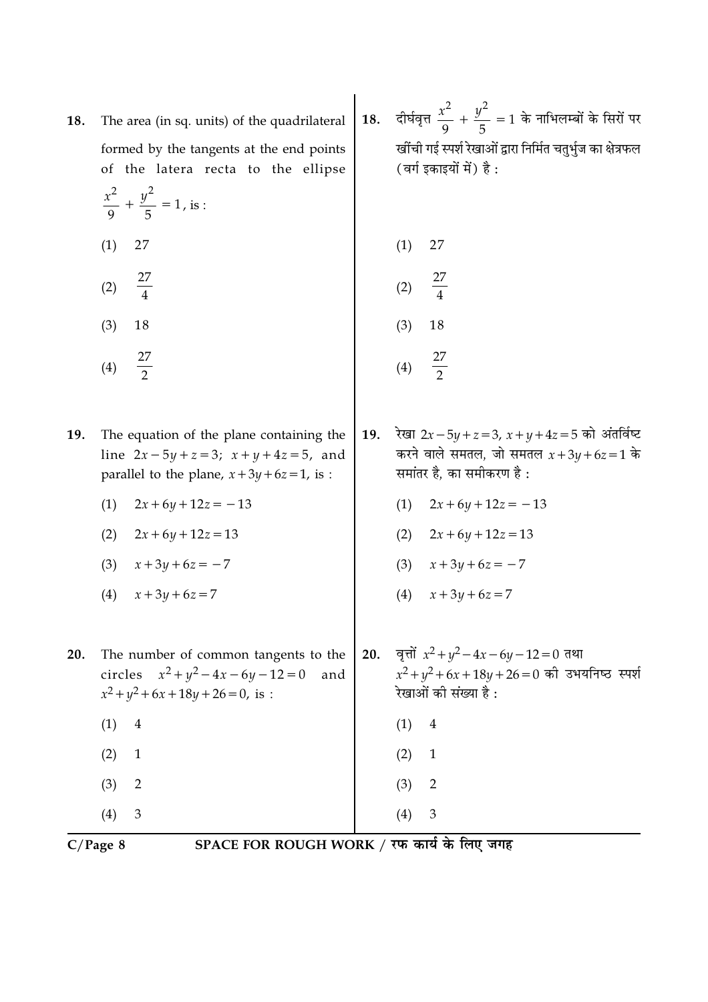| 18. | The area (in sq. units) of the quadrilateral<br>formed by the tangents at the end points<br>of the latera recta to the ellipse<br>$rac{x^2}{9} + \frac{y^2}{5} = 1$ , is : |     | दीर्घवृत्त $\frac{x^2}{9} + \frac{y^2}{5} = 1$ के नाभिलम्बों के सिरों पर<br>खींची गई स्पर्श रेखाओं द्वारा निर्मित चतुर्भुज का क्षेत्रफल<br>(वर्ग इकाइयों में) है: |
|-----|----------------------------------------------------------------------------------------------------------------------------------------------------------------------------|-----|-------------------------------------------------------------------------------------------------------------------------------------------------------------------|
|     | (1)<br>27                                                                                                                                                                  |     | (1)<br>27                                                                                                                                                         |
|     | $\frac{27}{4}$<br>(2)                                                                                                                                                      |     | $\frac{27}{4}$<br>(2)                                                                                                                                             |
|     | (3)<br>18                                                                                                                                                                  |     | (3)<br>18                                                                                                                                                         |
|     | $\frac{27}{2}$<br>(4)                                                                                                                                                      |     | $\frac{27}{2}$<br>(4)                                                                                                                                             |
| 19. | The equation of the plane containing the<br>line $2x - 5y + z = 3$ ; $x + y + 4z = 5$ , and<br>parallel to the plane, $x + 3y + 6z = 1$ , is :                             | 19. | रेखा 2x – 5y + z = 3, x + y + 4z = 5 को अंतर्विष्ट<br>करने वाले समतल, जो समतल $x+3y+6z=1$ के<br>समांतर है, का समीकरण है:                                          |
|     | $2x+6y+12z=-13$<br>(1)                                                                                                                                                     |     | $2x+6y+12z=-13$<br>(1)                                                                                                                                            |
|     | (2)<br>$2x + 6y + 12z = 13$                                                                                                                                                |     | $2x+6y+12z=13$<br>(2)                                                                                                                                             |
|     | (3)<br>$x + 3y + 6z = -7$                                                                                                                                                  |     | (3) $x + 3y + 6z = -7$                                                                                                                                            |
|     | $x + 3y + 6z = 7$<br>(4)                                                                                                                                                   |     | $x + 3y + 6z = 7$<br>(4)                                                                                                                                          |
| 20. | The number of common tangents to the<br>circles $x^2 + y^2 - 4x - 6y - 12 = 0$<br>and<br>$x^2 + y^2 + 6x + 18y + 26 = 0$ , is :                                            | 20. | वृत्तों $x^2 + y^2 - 4x - 6y - 12 = 0$ तथा<br>$x^2 + y^2 + 6x + 18y + 26 = 0$ की उभयनिष्ठ स्पर्श<br>रेखाओं की संख्या है :                                         |
|     | (1)<br>$\overline{4}$                                                                                                                                                      |     | (1)<br>$\overline{4}$                                                                                                                                             |
|     | (2)<br>$\mathbf{1}$                                                                                                                                                        |     | (2)<br>$\mathbf{1}$                                                                                                                                               |
|     | (3)<br>$\overline{2}$                                                                                                                                                      |     | (3)<br>$\overline{2}$                                                                                                                                             |
|     | $\mathfrak{Z}$<br>(4)                                                                                                                                                      |     | $\mathfrak{Z}$<br>(4)                                                                                                                                             |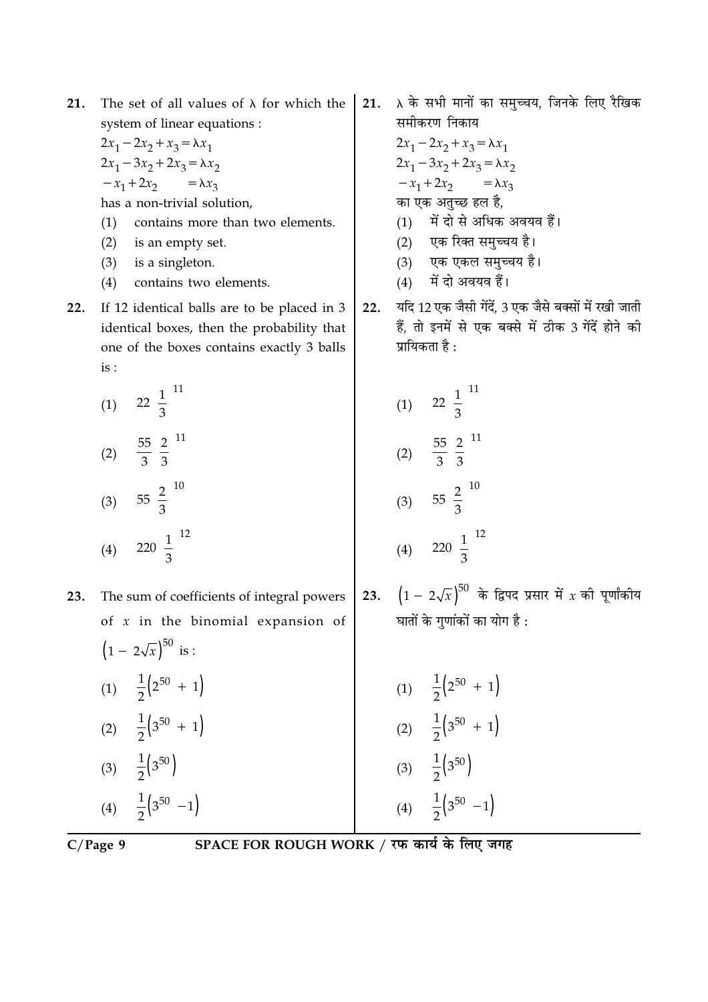- The set of all values of  $\lambda$  for which the 21. system of linear equations :
	- $2x_1 2x_2 + x_3 = \lambda x_1$  $2x_1 - 3x_2 + 2x_3 = \lambda x_2$  $-x_1+2x_2$  $=\lambda x_3$ has a non-trivial solution,
	- contains more than two elements.  $(1)$
	- $(2)$ is an empty set.
	- $(3)$ is a singleton.
	- $(4)$ contains two elements.
- If 12 identical balls are to be placed in 3  $22.$ identical boxes, then the probability that one of the boxes contains exactly 3 balls is :

(1) 
$$
22\left(\frac{1}{3}\right)^{11}
$$
  
\n(2)  $\frac{55}{3}\left(\frac{2}{3}\right)^{11}$   
\n(3)  $55\left(\frac{2}{3}\right)^{10}$   
\n(4)  $220\left(\frac{1}{3}\right)^{12}$ 

The sum of coefficients of integral powers 23. of  $x$  in the binomial expansion of  $(1 - 2\sqrt{x})^{50}$  is : (1)  $\frac{1}{2} (2^{50} + 1)$ (2)  $\frac{1}{2}$   $\left(3^{50} + 1\right)$ (3)  $\frac{1}{2}$  (3<sup>50</sup>)

 $\lambda$  के सभी मानों का समुच्चय, जिनके लिए रैखिक  $21.$ समीकरण निकाय

> $2x_1 - 2x_2 + x_3 = \lambda x_1$  $2x_1 - 3x_2 + 2x_3 = \lambda x_2$  $-x_1+2x_2 = \lambda x_3$ का एक अतच्छ हल है, (1) में दो से अधिक अवयव हैं। (2) एक रिक्त समुच्चय है। (3) एक एकल समुच्चय है।

- $(4)$  में दो अवयव हैं।
- यदि 12 एक जैसी गेंदें. 3 एक जैसे बक्सों में रखी जाती  $22.$ हैं, तो इनमें से एक बक्से में ठीक 3 गेंदें होने की प्रायिकता है :

(1) 
$$
22\left(\frac{1}{3}\right)^{11}
$$
  
\n(2)  $\frac{55}{3}\left(\frac{2}{3}\right)^{11}$   
\n(3)  $55\left(\frac{2}{3}\right)^{10}$   
\n(4)  $220\left(\frac{1}{3}\right)^{12}$ 

23.  $(1 - 2\sqrt{x})^{50}$  के द्विपद प्रसार में  $x$  की पूर्णांकीय घातों के गणांकों का योग है :

| (1)               | $\frac{1}{2}(2^{50} + 1)$                 |
|-------------------|-------------------------------------------|
| (2)               | $\frac{1}{2}$ $(3^{50} + 1)$              |
| (3)               | $\frac{1}{2}$ (3 <sup>50</sup> )          |
| $\left( 4\right)$ | $\frac{1}{2}$ (3 <sup>50</sup> )<br>$-1)$ |

 $C/Page$  9

(4)  $\frac{1}{2}$  (3<sup>50</sup> -1)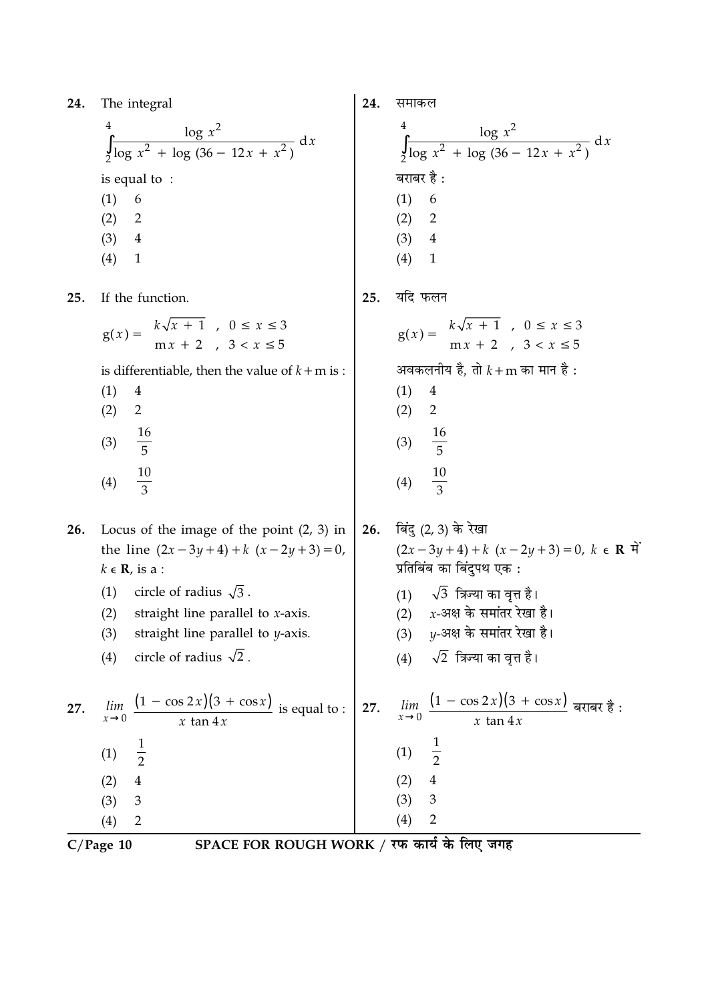| 24. |  | The integral |
|-----|--|--------------|
|-----|--|--------------|

| 24. | The integral                                                                                                                                                                                                                                                                                   | 24. | समाकल                                                                                                                                                                                                                                                       |
|-----|------------------------------------------------------------------------------------------------------------------------------------------------------------------------------------------------------------------------------------------------------------------------------------------------|-----|-------------------------------------------------------------------------------------------------------------------------------------------------------------------------------------------------------------------------------------------------------------|
|     | $\int_{2}^{4} \frac{\log x^{2}}{\log x^{2} + \log (36 - 12x + x^{2})} dx$<br>is equal to :<br>(1)<br>6<br>(2)<br>$\overline{2}$<br>(3)<br>$\overline{4}$<br>(4)<br>$\mathbf{1}$                                                                                                                |     | $\int_{2}^{4} \frac{\log x^{2}}{\log x^{2} + \log (36 - 12x + x^{2})} dx$<br>बराबर है :<br>(1)<br>6<br>(2)<br>2<br>(3) 4<br>(4)<br>$\mathbf{1}$                                                                                                             |
| 25. | If the function.                                                                                                                                                                                                                                                                               | 25. | यदि फलन                                                                                                                                                                                                                                                     |
|     | $g(x) = \begin{cases} k\sqrt{x} + 1, & 0 \le x \le 3 \\ mx + 2, & 3 < x \le 5 \end{cases}$<br>is differentiable, then the value of $k+m$ is :<br>(1)<br>$\overline{4}$<br>$\overline{2}$<br>(2)<br>$\frac{16}{5}$<br>(3)<br>$\frac{10}{3}$<br>(4)                                              |     | $g(x) = \begin{cases} k\sqrt{x} + 1, & 0 \le x \le 3 \\ mx + 2, & 3 < x \le 5 \end{cases}$<br>अवकलनीय है, तो $k + m$ का मान है:<br>(1)<br>$\overline{4}$<br>(2)<br>$\overline{2}$<br>(3) $\frac{16}{5}$<br>$\frac{10}{3}$<br>(4)                            |
| 26. | Locus of the image of the point $(2, 3)$ in<br>the line $(2x-3y+4)+k(x-2y+3)=0$ ,<br>$k \in \mathbf{R}$ , is a :<br>circle of radius $\sqrt{3}$ .<br>(1)<br>(2)<br>straight line parallel to $x$ -axis.<br>straight line parallel to $y$ -axis.<br>(3)<br>circle of radius $\sqrt{2}$ .<br>(4) | 26. | बिंदु (2, 3) के रेखा<br>$(2x-3y+4)+k(x-2y+3)=0, k \in \mathbb{R}$<br>प्रतिबिंब का बिंदुपथ एक :<br>$(1)$ $\sqrt{3}$ त्रिज्या का वृत्त है।<br>(2) $x$ -अक्ष के समांतर रेखा है।<br>y-अक्ष के समांतर रेखा है।<br>(3)<br>$\sqrt{2}$ त्रिज्या का वृत्त है।<br>(4) |
| 27. | $\frac{(1 - \cos 2x)(3 + \cos x)}{\sin x}$ is equal to :<br>lim<br>$\overline{x \tan 4x}$<br>$x\rightarrow 0$<br>$\frac{1}{2}$<br>(1)<br>$\overline{4}$<br>(2)<br>(3)<br>3                                                                                                                     | 27. | lim $\frac{(1 - \cos 2x)(3 + \cos x)}{3 + \cos x}$ बराबर है:<br>$x\rightarrow 0$<br>$x \tan 4x$<br>$\frac{1}{2}$<br>(1)<br>(2)<br>$\overline{4}$<br>(3)<br>3                                                                                                |
|     | (1)                                                                                                                                                                                                                                                                                            |     | (4)<br>っ                                                                                                                                                                                                                                                    |

 $\frac{(4) 2}{C/Page 10}$  SPACE FOR ROUGH WORK / रफ कार्य के लिए जगह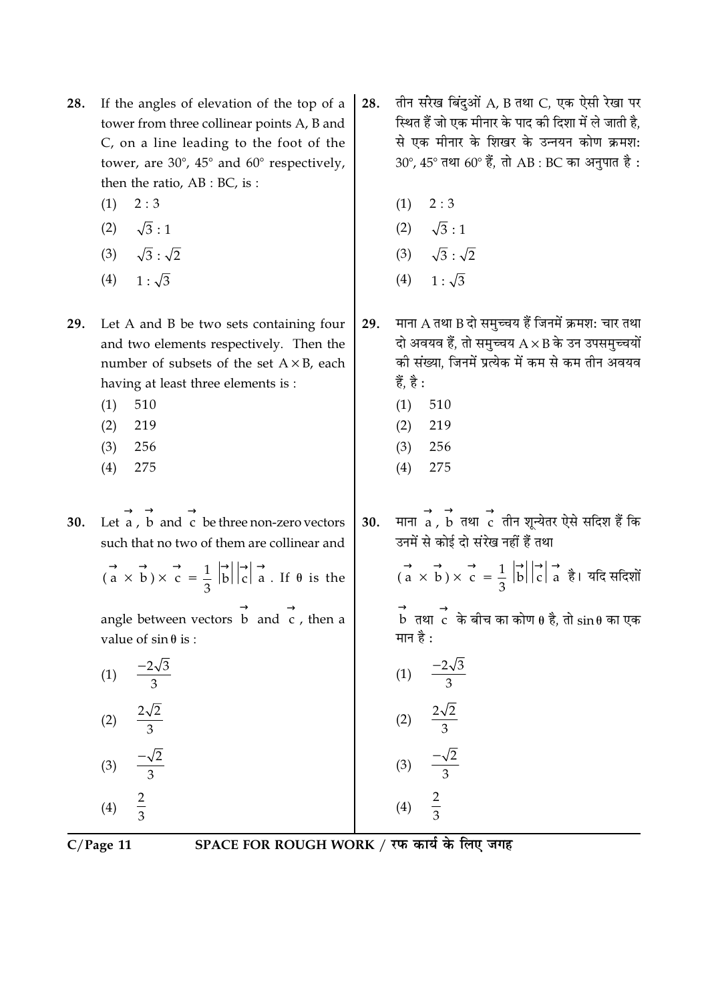- If the angles of elevation of the top of a 28. tower from three collinear points A, B and C, on a line leading to the foot of the tower, are  $30^{\circ}$ ,  $45^{\circ}$  and  $60^{\circ}$  respectively, then the ratio, AB : BC, is :
	- $2:3$  $(1)$
	- $\sqrt{3}:1$  $(2)$
	- $\sqrt{3}$ :  $\sqrt{2}$  $(3)$
	- $(4)$  $1:\sqrt{3}$

Let A and B be two sets containing four 29. and two elements respectively. Then the number of subsets of the set  $A \times B$ , each having at least three elements is :

- $(1)$ 510
- $(2)$ 219
- $(3)$ 256
- 275  $(4)$

Let  $\vec{a}$ ,  $\vec{b}$  and  $\vec{c}$  be three non-zero vectors 30. such that no two of them are collinear and

$$
(\vec{a} \times \vec{b}) \times \vec{c} = \frac{1}{3} |\vec{b}| |\vec{c}| \rightarrow \text{a}.
$$
 If  $\theta$  is the

angle between vectors  $\overrightarrow{b}$  and  $\overrightarrow{c}$ , then a value of  $\sin \theta$  is :

| (1) | $-2\sqrt{3}$<br>З             |
|-----|-------------------------------|
| (2) | $2\sqrt{2}$<br>$\overline{3}$ |
| (3) | $-\sqrt{2}$<br>$\overline{3}$ |
| (4) | $\frac{2}{3}$                 |

 $\overline{3}$ 

तीन सरेख बिंदुओं A, B तथा C, एक ऐसी रेखा पर 28. स्थित हैं जो एक मीनार के पाद की दिशा में ले जाती है, से एक मीनार के शिखर के उन्नयन कोण क्रमश:  $30^{\circ}$ ,  $45^{\circ}$  तथा  $60^{\circ}$  हैं, तो AB : BC का अनुपात है :

- $2:3$  $(1)$
- (2)  $\sqrt{3}:1$
- $\sqrt{3}:\sqrt{2}$  $(3)$
- $(4)$  $1:\sqrt{3}$

माना A तथा B दो समुच्चय हैं जिनमें क्रमश: चार तथा 29. दो अवयव हैं, तो समुच्चय  $A \times B$  के उन उपसमुच्चयों की संख्या. जिनमें प्रत्येक में कम से कम तीन अवयव हैं. है :

- $(1)$ 510
- 219  $(2)$
- $(3)$ 256
- 275  $(4)$

माना  $\overrightarrow{a}$  ,  $\overrightarrow{b}$  तथा  $\overrightarrow{c}$  तीन शून्येतर ऐसे सदिश हैं कि  $30.$ उनमें से कोई दो संरेख नहीं हैं तथा

 $\overrightarrow{a}$   $\overrightarrow{b}$   $\overrightarrow{c}$  =  $\frac{1}{3}$   $\overrightarrow{b}$   $\overrightarrow{c}$  =  $\frac{1}{3}$   $\overrightarrow{b}$   $\overrightarrow{c}$  =  $\frac{1}{3}$   $\overrightarrow{d}$  =  $\overrightarrow{d}$  =  $\overrightarrow{b}$  =  $\overrightarrow{a}$  =  $\overrightarrow{b}$  =  $\overrightarrow{a}$  =  $\overrightarrow{b}$  =  $\overrightarrow{c}$  =  $\overrightarrow{a}$  =  $\overrightarrow{b}$  =  $\overrightarrow{c}$  =

 $\stackrel{\rightarrow}{\rm b}$  तथा  $\stackrel{\rightarrow}{\rm c}$  के बीच का कोण  $\theta$  है, तो  $\sin\theta$  का एक मान है:

(1) 
$$
\frac{-2\sqrt{3}}{3}
$$
  
\n(2)  $\frac{2\sqrt{2}}{3}$   
\n(3)  $\frac{-\sqrt{2}}{3}$   
\n(4)  $\frac{2}{3}$ 

 $\overline{3}$ 

 $C/Page$  11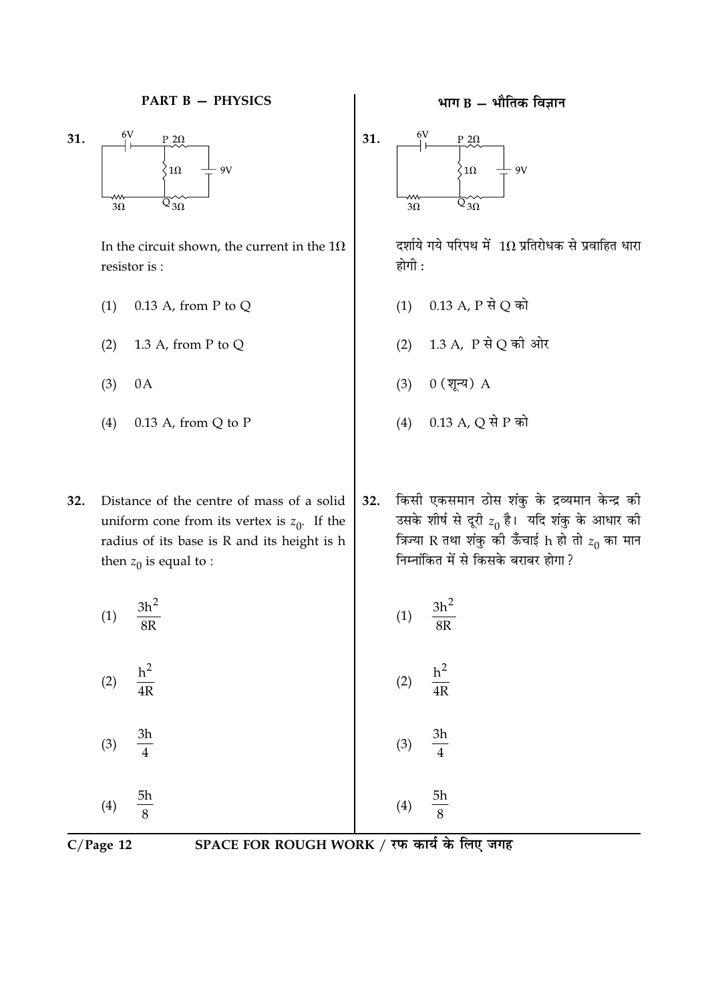

In the circuit shown, the current in the  $1\Omega$ resistor is:

- $0.13$  A, from P to Q  $(1)$
- $(2)$ 1.3 A, from P to Q
- $(3)$  $0A$
- $0.13$  A, from Q to P  $(4)$

32. Distance of the centre of mass of a solid uniform cone from its vertex is  $z_0$ . If the radius of its base is R and its height is h then  $z_0$  is equal to :

$$
(1) \quad \frac{3h^2}{8R}
$$

 $(2)$  $\overline{4R}$ 

3h  $(3)$  $\overline{4}$ 

5h  $(4)$  $\mathbf{Q}$ 

 $C/Page$  12

SPACE FOR ROUGH WORK / रफ कार्य के लिए जगह

### भाग  $B -$  भौतिक विज्ञान



दर्शाये गये परिपथ में  $1\Omega$  प्रतिरोधक से प्रवाहित धारा होगी :

- $0.13$  A, P से Q को  $(1)$
- (2) 1.3 A, P से Q की ओर
- $0$  (शून्य)  $A$  $(3)$
- $(4)$  $0.13$  A, Q से P को
- किसी एकसमान ठोस शंकु के द्रव्यमान केन्द्र की 32. उसके शीर्ष से दूरी  $z_0$  है।  $\overline{z}$ यदि शंकु के आधार को<br>त्रिज्या R तथा शंकु की ऊँचाई h हो तो  $z_0$  का मान निम्नांकित में से किसके बराबर होगा ?

$$
(1) \qquad \frac{3h^2}{8R}
$$

$$
(2) \quad \frac{h^2}{4R}
$$

$$
(3) \quad \frac{3h}{4}
$$

 $(4)$ 

$$
3) \frac{3h}{4}
$$

5h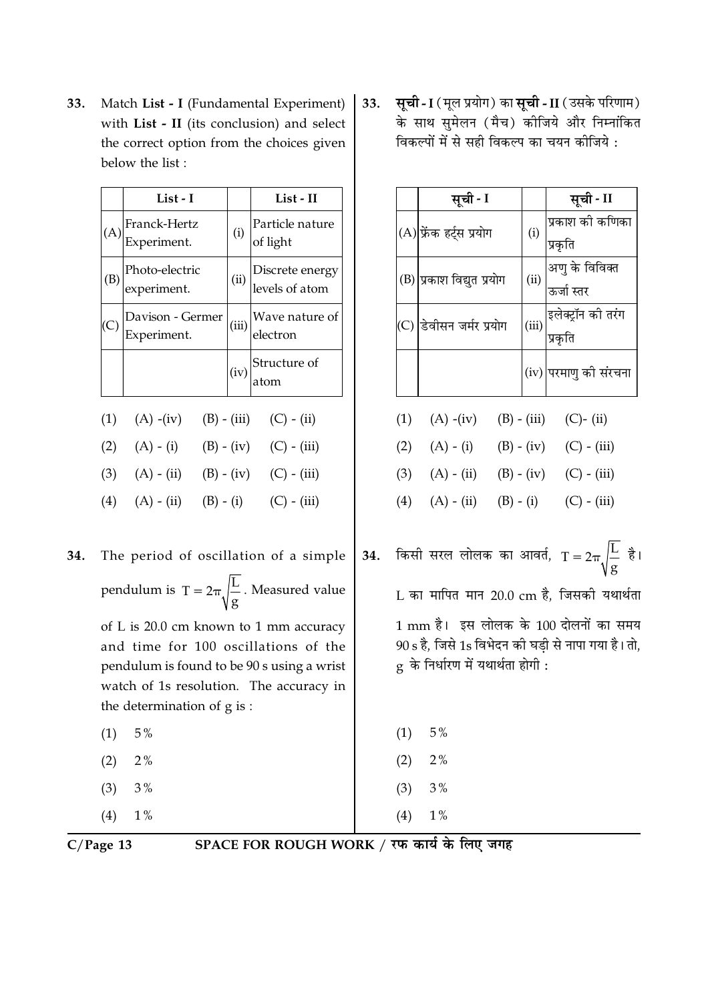Match List - I (Fundamental Experiment) 33. with List - II (its conclusion) and select the correct option from the choices given below the list:

| List - I                             |     | List - II                                                                                          |
|--------------------------------------|-----|----------------------------------------------------------------------------------------------------|
| Franck-Hertz<br>Experiment.          | (i) | Particle nature<br>of light                                                                        |
| Photo-electric<br>experiment.        |     | (ii) $\left  \begin{array}{c} \text{Discrete energy} \\ \text{levels of atom} \end{array} \right $ |
| Davison - Germer<br>Experiment.      |     | $(iii)$ <sup>Wave nature of</sup><br>electron                                                      |
|                                      |     | $\vert$ (iv) $\vert$ Structure of atom                                                             |
| (1) (A) -(iv) (B) - (iii) (C) - (ii) |     |                                                                                                    |

- $(2)$   $(A) (i)$  $(B) - (iv)$  $(C) - (iii)$  $(3)$  $(A) - (ii)$  $(B) - (iv)$  $(C) - (iii)$
- $(4)$  $(A) - (ii)$  $(B) - (i)$  $(C) - (iii)$

| 34. The period of oscillation of a simple                  |
|------------------------------------------------------------|
| pendulum is $T = 2\pi \sqrt{\frac{L}{g}}$ . Measured value |

of L is 20.0 cm known to 1 mm accuracy and time for 100 oscillations of the pendulum is found to be 90 s using a wrist watch of 1s resolution. The accuracy in the determination of g is:

- $(1)$  $5\,\%$
- $(2)$  $2%$
- $(3)$  $3%$
- $(4)$  $1\%$

सूची - I (मूल प्रयोग) का सूची - II (उसके परिणाम) 33. के साथ सुमेलन (मैच) कोजिये और निम्नांकित विकल्पों में से सही विकल्प का चयन कीजिये :

|     |     | सूची - I                                                                                                                            |       | सूची - II                     |
|-----|-----|-------------------------------------------------------------------------------------------------------------------------------------|-------|-------------------------------|
|     |     | (A) फ्रेंक हर्ट्स प्रयोग                                                                                                            | (i)   | प्रकाश की कणिका<br>प्रकृति    |
|     |     | (B) प्रकाश विद्युत प्रयोग                                                                                                           | (ii)  | अणु के विविक्त<br>ऊर्जा स्तर  |
|     | (C) | डेवीसन जर्मर प्रयोग                                                                                                                 | (iii) | इलेक्ट्रॉन की तरंग<br>प्रकृति |
|     |     |                                                                                                                                     |       | (iv) परमाणु की संरचना         |
|     |     | (1) (A) -(iv) (B) - (iii) (C)- (ii)                                                                                                 |       |                               |
|     |     | (2) $(A) - (i)$ $(B) - (iv)$ $(C) - (iii)$                                                                                          |       |                               |
|     |     | (3) $(A) - (ii)$ $(B) - (iv)$ $(C) - (iii)$                                                                                         |       |                               |
|     | (4) | $(A) - (ii)$ $(B) - (i)$ $(C) - (iii)$                                                                                              |       |                               |
| 34. |     | किसी सरल लोलक का आवर्त, $T = 2\pi \sqrt{\frac{L}{g}}$ है                                                                            |       |                               |
|     |     | L का मापित मान 20.0 cm है, जिसकी यथार्थता                                                                                           |       |                               |
|     |     | 1 mm है।  इस लोलक के 100 दोलनों का समय<br>90 s है, जिसे 1s विभेदन को घड़ी से नापा गया है। तो,<br>g  के निर्धारण में यथार्थता होगी : |       |                               |

| (1) | 5%    |
|-----|-------|
| (2) | $2\%$ |
| (3) | 3%    |

 $(4)$ 

 $1\%$ 

 $C/Page$  13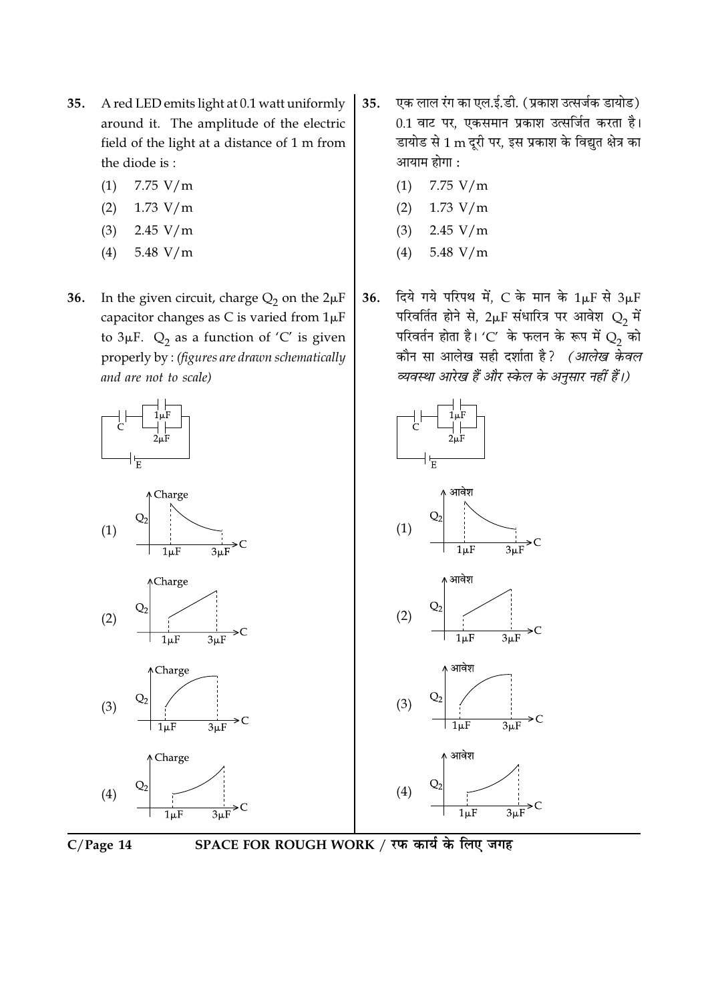- A red LED emits light at 0.1 watt uniformly 35. around it. The amplitude of the electric field of the light at a distance of 1 m from the diode is:
	- $(1)$ 7.75  $V/m$
	- $(2)$  $1.73 V/m$
	- $(3)$  $2.45 V/m$
	- 5.48  $V/m$  $(4)$
- In the given circuit, charge  $Q_2$  on the  $2\mu F$ 36. capacitor changes as C is varied from  $1\mu F$ to  $3\mu$ F.  $Q_2$  as a function of 'C' is given properly by: (figures are drawn schematically and are not to scale)
	- 비능 ↑ Charge  $(1)$  $1\mu F$ **ACharge** Q,  $(2)$



 $1<sub>µ</sub>F$ 

 $3<sub>u</sub>F$ 

 $\geq C$ 



- एक लाल रंग का एल.ई.डी. (प्रकाश उत्सर्जक डायोड) 35. 0.1 वाट पर, एकसमान प्रकाश उत्सर्जित करता है। डायोड से 1 m दूरी पर, इस प्रकाश के विद्युत क्षेत्र का आयाम होगा :
	- 7.75  $V/m$  $(1)$
	- $1.73 V/m$  $(2)$
	- $(3)$  $2.45 V/m$
	- 5.48  $V/m$  $(4)$
- दिये गये परिपथ में, C के मान के  $1\mu$ F से  $3\mu$ F 36. परिवर्तित होने से, 2µF संधारित्र पर आवेश  $Q_2$  में परिवर्तन होता है। 'C' के फलन के रूप में  $Q_2$  को कौन सा आलेख सही दर्शाता है? (आलेख केवल व्यवस्था आरेख हैं और स्केल के अनुसार नहीं हैं।)





SPACE FOR ROUGH WORK / रफ कार्य के लिए जगह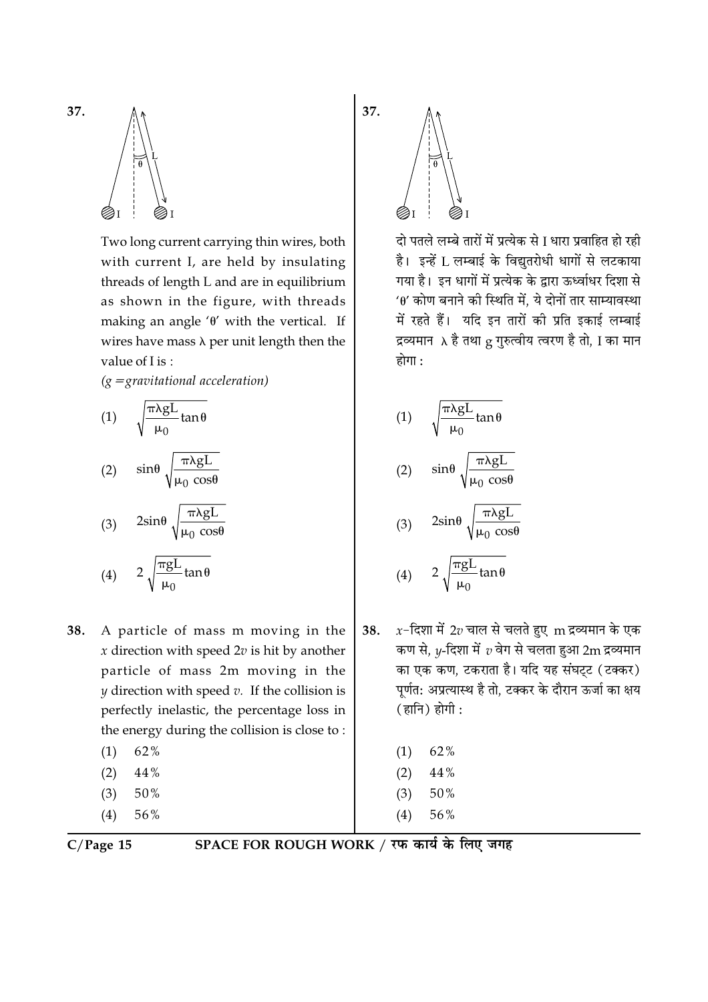

Two long current carrying thin wires, both with current I, are held by insulating threads of length L and are in equilibrium as shown in the figure, with threads making an angle ' $\theta$ ' with the vertical. If wires have mass  $\lambda$  per unit length then the value of I is:

 $(g = gravitational acceleration)$ 

(1) 
$$
\sqrt{\frac{\pi \lambda g L}{\mu_0} \tan \theta}
$$
  
\n(2)  $\sin \theta \sqrt{\frac{\pi \lambda g L}{\mu_0 \cos \theta}}$   
\n(3)  $2\sin \theta \sqrt{\frac{\pi \lambda g L}{\mu_0 \cos \theta}}$   
\n(4)  $2\sqrt{\frac{\pi g L}{\mu_0} \tan \theta}$ 

- 38. A particle of mass m moving in the  $x$  direction with speed  $2v$  is hit by another particle of mass 2m moving in the  $y$  direction with speed  $v$ . If the collision is perfectly inelastic, the percentage loss in the energy during the collision is close to:
	- 62%  $(1)$ 44%  $(2)$  $(3)$ 50%
	- $(4)$ 56%

दो पतले लम्बे तारों में प्रत्येक से I धारा प्रवाहित हो रही है। इन्हें L लम्बाई के विद्युतरोधी धागों से लटकाया गया है। इन धागों में प्रत्येक के द्वारा ऊर्ध्वाधर दिशा से  $40'$  कोण बनाने की स्थिति में. ये दोनों तार साम्यावस्था में रहते हैं। यदि इन तारों की प्रति इकाई लम्बाई द्रव्यमान ) है तथा g गुरुत्वीय त्वरण है तो, I का मान होगा :

(1) 
$$
\sqrt{\frac{\pi \lambda g L}{\mu_0}} \tan \theta
$$
  
\n(2)  $\sin \theta \sqrt{\frac{\pi \lambda g L}{\mu_0 \cos \theta}}$   
\n(3)  $2\sin \theta \sqrt{\frac{\pi \lambda g L}{\mu_0 \cos \theta}}$ 

$$
(4) \qquad 2\sqrt{\frac{\pi gL}{\mu_0}\tan\theta}
$$

 $x$ -दिशा में 2v चाल से चलते हुए m द्रव्यमान के एक 38. कण से,  $y$ -दिशा में  $v$  वेग से चलता हुआ 2 ${\rm m}$  द्रव्यमान का एक कण, टकराता है। यदि यह संघट्ट (टक्कर) पूर्णत: अप्रत्यास्थ है तो, टक्कर के दौरान ऊर्जा का क्षय  $( \overline{\mathsf{g}} \mathsf{l} \overline{\mathsf{h}} ) \overline{\mathsf{g}} \mathsf{l} \overline{\mathsf{f}} \mathsf{l}$ :

| (1) | 62% |
|-----|-----|
|     |     |

- $(2)$ 44%
- $(3)$ 50%
- 56%  $(4)$

 $C/Page$  15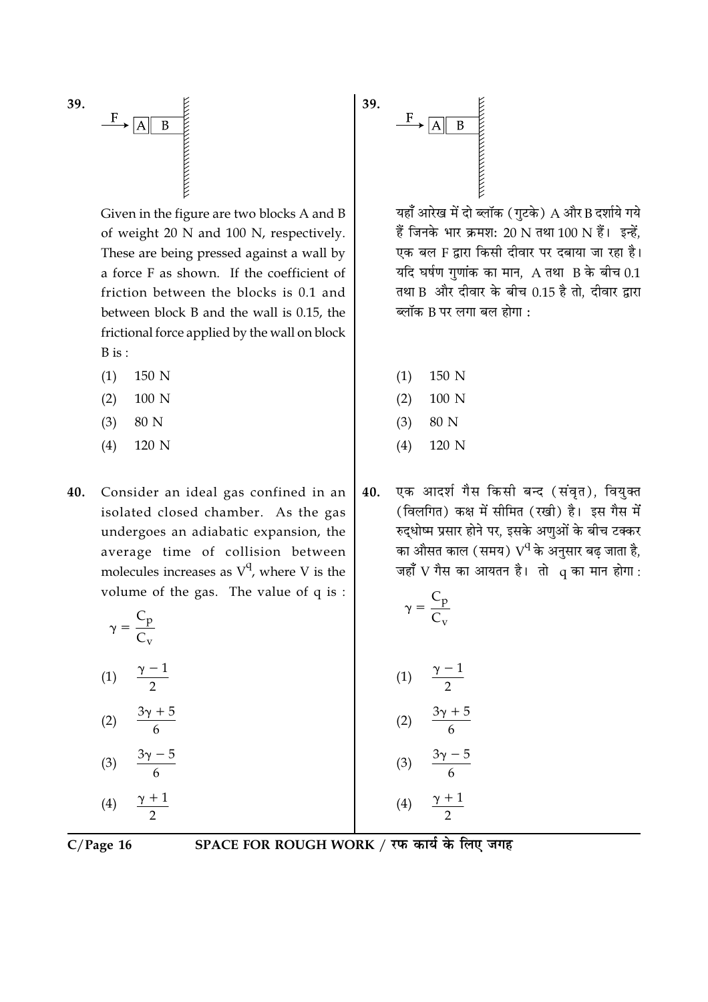

Given in the figure are two blocks A and B of weight 20 N and 100 N, respectively. These are being pressed against a wall by a force F as shown. If the coefficient of friction between the blocks is 0.1 and between block B and the wall is 0.15, the frictional force applied by the wall on block  $B$  is :

- $(1)$ 150 N
- $(2)$ 100 N
- $(3)$ 80 N
- $(4)$ 120 N

40. Consider an ideal gas confined in an isolated closed chamber. As the gas undergoes an adiabatic expansion, the average time of collision between molecules increases as  $V^q$ , where V is the volume of the gas. The value of  $q$  is:

$$
\left(\gamma = \frac{C_p}{C_v}\right)
$$

 $(1)$ 

- $(2)$
- $(3)$

 $(4)$ 

 $C/Page 16$ 

# SPACE FOR ROUGH WORK / रफ कार्य के लिए जगह



यहाँ आरेख में दो ब्लॉक (गुटके) A और B दर्शाये गये हैं जिनके भार क्रमश: 20 N तथा 100 N हैं। इन्हें. एक बल F द्वारा किसी दीवार पर दबाया जा रहा है। यदि घर्षण गुणांक का मान,  $A$  तथा  $B$  के बीच 0.1 तथा B और दीवार के बीच 0.15 है तो, दीवार द्वारा ब्लॉक B पर लगा बल होगा :

- $(1)$ 150 N
- $(2)$ 100 N
- $(3)$ 80 N
- $(4)$ 120 N
- एक आदर्श गैस किसी बन्द (संवृत), वियुक्त 40. (विलगित) कक्ष में सीमित (रखी) है। इस गैस में रुद्धोष्म प्रसार होने पर, इसके अणुओं के बीच टक्कर का औसत काल (समय)  $\rm V^q$ के अनुसार बढ जाता है, जहाँ  $V$  गैस का आयतन है। तो  $q$  का मान होगा:

$$
\left(\gamma = \frac{C_p}{C_v}\right)
$$

$$
(1) \quad \frac{\gamma - 1}{2}
$$

$$
(2) \quad \frac{3\gamma + 5}{6}
$$

$$
(3) \quad \frac{3\gamma-5}{6}
$$

$$
(3) \quad \frac{3\gamma-}{6}
$$

 $(4)$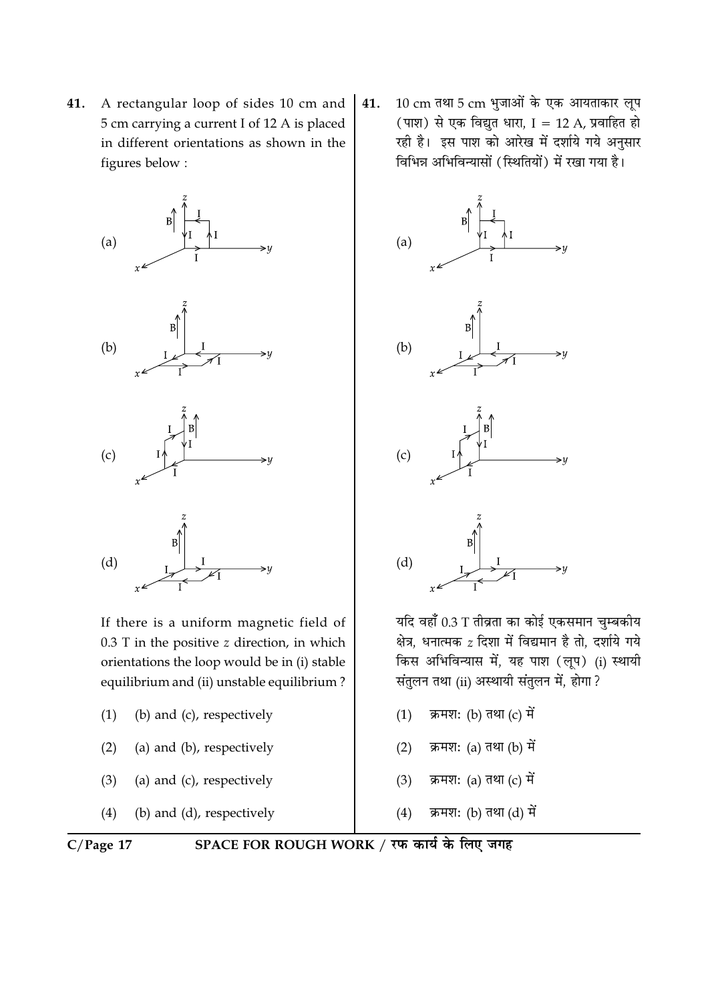A rectangular loop of sides 10 cm and 41. 5 cm carrying a current I of 12 A is placed in different orientations as shown in the figures below:



If there is a uniform magnetic field of  $0.3$  T in the positive  $z$  direction, in which orientations the loop would be in (i) stable equilibrium and (ii) unstable equilibrium?

- (b) and (c), respectively  $(1)$
- (a) and (b), respectively  $(2)$
- (a) and (c), respectively  $(3)$
- $(4)$ (b) and (d), respectively

10 cm तथा 5 cm भुजाओं के एक आयताकार लूप 41. (पाश) से एक विद्युत धारा, I = 12 A, प्रवाहित हो रही है। इस पाश को आरेख में दर्शाये गये अनुसार विभिन्न अभिविन्यासों (स्थितियों) में रखा गया है।



यदि वहाँ 0.3 T तीव्रता का कोई एकसमान चुम्बकीय क्षेत्र, धनात्मक z दिशा में विद्यमान है तो, दर्शाये गये किस अभिविन्यास में, यह पाश (लूप) (i) स्थायी संतुलन तथा (ii) अस्थायी संतुलन में, होगा ?

- क्रमश: (b) तथा (c) में  $(1)$
- क्रमश: (a) तथा (b) में  $(2)$
- क्रमश: (a) तथा (c) में  $(3)$
- $(4)$ क्रमश: (b) तथा (d) में

 $C/Page 17$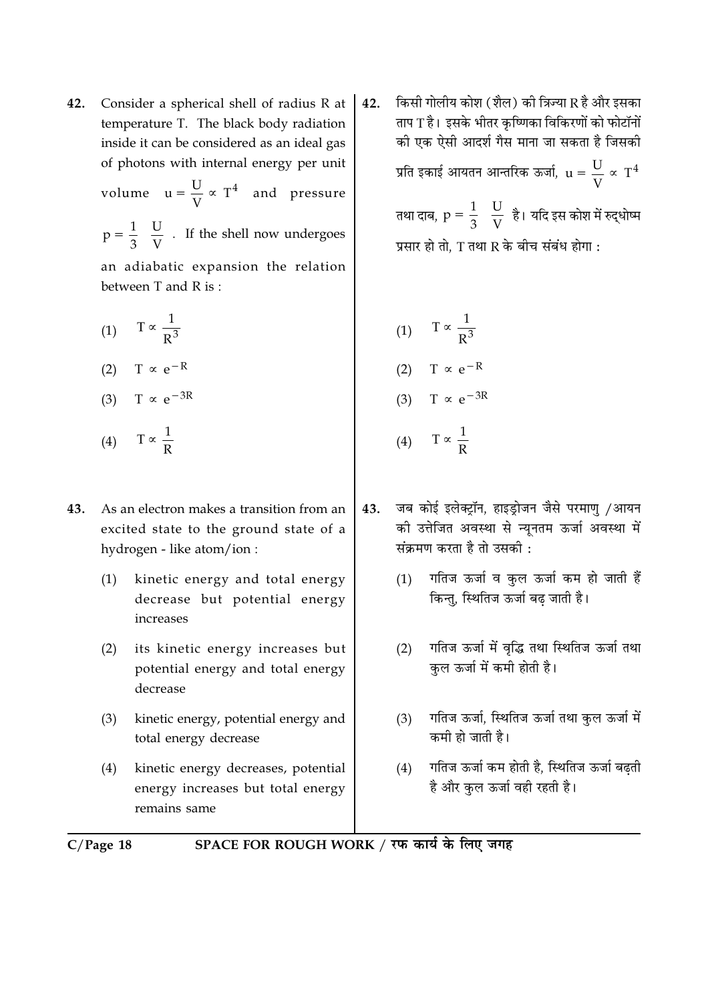- 42. Consider a spherical shell of radius R at temperature T. The black body radiation inside it can be considered as an ideal gas of photons with internal energy per unit volume  $u = \frac{U}{V} \propto T^4$  and pressure  $p = \frac{1}{3} \left( \frac{U}{V} \right)$ . If the shell now undergoes an adiabatic expansion the relation between T and R is:
	- (1)  $T \propto \frac{1}{R^3}$ (2)  $T \propto e^{-R}$
	- (3) T  $\propto e^{-3R}$
	- (4)  $T \propto \frac{1}{R}$
- As an electron makes a transition from an 43. excited state to the ground state of a hydrogen - like atom/ion :
	- kinetic energy and total energy  $(1)$ decrease but potential energy increases
	- $(2)$ its kinetic energy increases but potential energy and total energy decrease
	- kinetic energy, potential energy and  $(3)$ total energy decrease
	- kinetic energy decreases, potential  $(4)$ energy increases but total energy remains same

किसी गोलीय कोश (शैल) की त्रिज्या R है और इसका 42. ताप T है। इसके भीतर कृष्णिका विकिरणों को फोटॉनों की एक ऐसी आदर्श गैस माना जा सकता है जिसकी प्रति इकाई आयतन आन्तरिक ऊर्जा,  $u = \frac{U}{V} \propto T^4$ 

> तथा दाब,  $p = \frac{1}{3} \left( \frac{U}{V} \right)$ है। यदि इस कोश में रुद्धोष्म प्रसार हो तो. T तथा R के बीच संबंध होगा :

- (1)  $T \propto \frac{1}{R^3}$ (2)  $T \propto e^{-R}$ (3) T  $\propto e^{-3R}$ (4)  $T \propto \frac{1}{R}$
- जब कोई इलेक्ट्रॉन, हाइड़ोजन जैसे परमाणु /आयन 43. की उत्तेजित अवस्था से न्यूनतम ऊर्जा अवस्था में संक्रमण करता है तो उसकी $\cdot$ 
	- गतिज ऊर्जा व कुल ऊर्जा कम हो जाती हैं  $(1)$ किन्तु, स्थितिज ऊर्जा बढ जाती है।
	- गतिज ऊर्जा में वृद्धि तथा स्थितिज ऊर्जा तथा  $(2)$ कुल ऊर्जा में कमी होती है।
	- गतिज ऊर्जा, स्थितिज ऊर्जा तथा कुल ऊर्जा में  $(3)$ कमी हो जाती है।
	- गतिज ऊर्जा कम होती है, स्थितिज ऊर्जा बढती  $(4)$ है और कल ऊर्जा वही रहती है।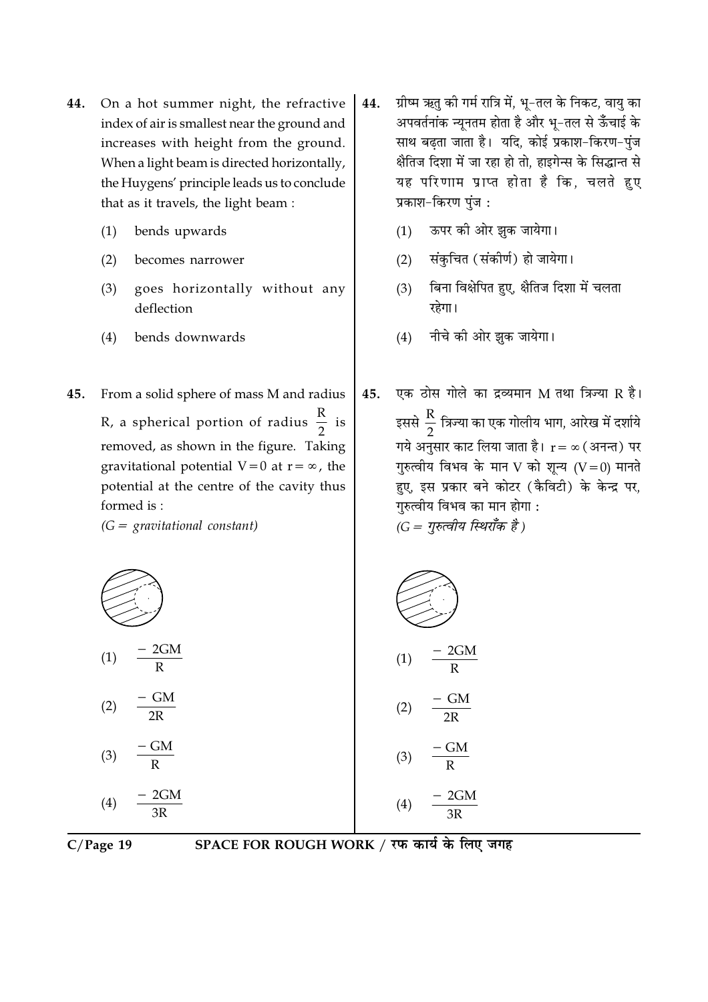- 44. On a hot summer night, the refractive index of air is smallest near the ground and increases with height from the ground. When a light beam is directed horizontally, the Huygens' principle leads us to conclude that as it travels, the light beam:
	- bends upwards  $(1)$
	- $(2)$ becomes narrower
	- goes horizontally without any  $(3)$ deflection
	- bends downwards  $(4)$
- 45. From a solid sphere of mass M and radius R, a spherical portion of radius  $\frac{R}{2}$  is removed, as shown in the figure. Taking gravitational potential  $V=0$  at  $r=\infty$ , the potential at the centre of the cavity thus formed is:

 $(G =$  gravitational constant)



- ऊपर की ओर झक जायेगा।  $(1)$
- संकचित (संकीर्ण) हो जायेगा।  $(2)$
- बिना विक्षेपित हुए, क्षैतिज दिशा में चलता  $(3)$ रहेगा।
- नीचे की ओर झुक जायेगा।  $(4)$
- एक ठोस गोले का द्रव्यमान M तथा त्रिज्या R है। 45. इससे  $\frac{R}{2}$  त्रिज्या का एक गोलीय भाग, आरेख में दर्शाये गये अनुसार काट लिया जाता है।  $\mathbf{r} = \infty$  (अनन्त) पर गुरुत्वीय विभव के मान V को शून्य  $(V=0)$  मानते हुए, इस प्रकार बने कोटर (कैविटी) के केन्द्र पर, गुरुत्वीय विभव का मान होगा :  $(G = \eta \bar{\kappa}$ त्वीय स्थिराँक है)

$$
(1) \frac{-2GM}{R}
$$
\n
$$
(2) \frac{-GM}{2R}
$$
\n
$$
(3) \frac{-GM}{R}
$$
\n
$$
(4) \frac{-2GM}{3R}
$$
\n
$$
(4) \frac{-2GM}{3R}
$$
\n
$$
(4) \frac{-2GM}{3R}
$$
\n
$$
(4) \frac{-2GM}{3R}
$$

$$
C/Page\ 19
$$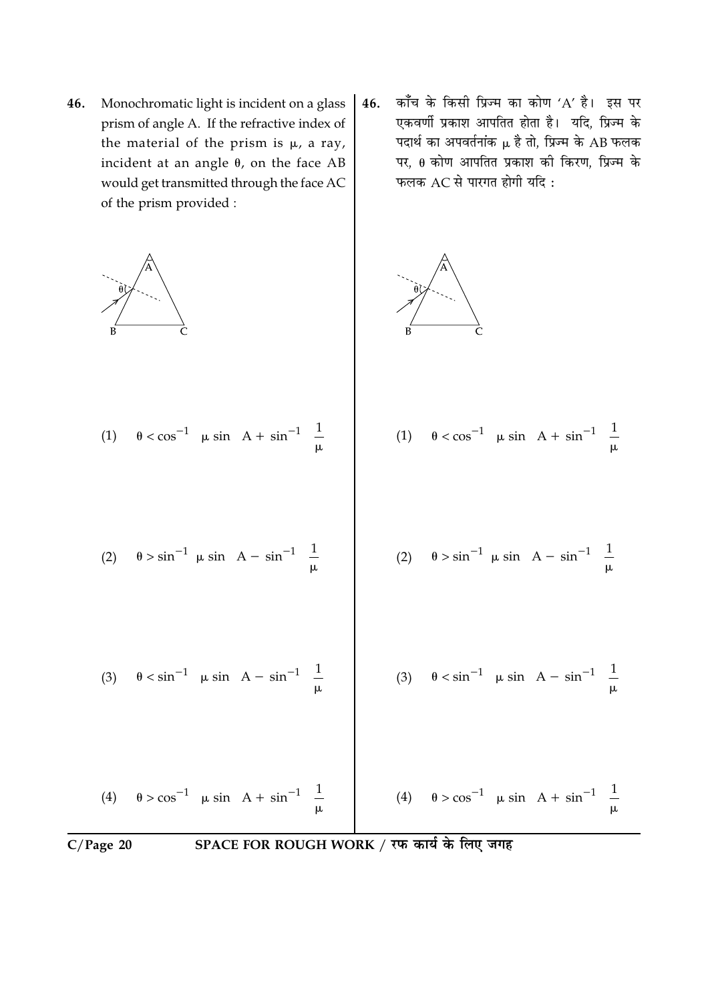- 46. Monochromatic light is incident on a glass prism of angle A. If the refractive index of the material of the prism is  $\mu$ , a ray, incident at an angle  $\theta$ , on the face AB would get transmitted through the face AC of the prism provided :
- काँच के किसी प्रिज्म का कोण 'A' है। इस पर 46. एकवर्णी प्रकाश आपतित होता है। यदि, प्रिज्म के पदार्थ का अपवर्तनांक  $\mu$  है तो, प्रिज्म के AB फलक पर,  $\theta$  कोण आपतित प्रकाश की किरण, प्रिज्म के फलक  $AC$  से पारगत होगी यदि:

$$
(1) \quad \theta < \cos^{-1} \left[ \mu \sin \left( A + \sin^{-1} \left( \frac{1}{\mu} \right) \right] \right]
$$
\n
$$
(2) \quad \theta > \sin^{-1} \left[ \mu \sin \left( A - \sin^{-1} \left( \frac{1}{\mu} \right) \right] \right]
$$
\n
$$
(3) \quad \theta < \sin^{-1} \left[ \mu \sin \left( A - \sin^{-1} \left( \frac{1}{\mu} \right) \right] \right]
$$
\n
$$
(4) \quad \theta > \cos^{-1} \left[ \mu \sin \left( A - \sin^{-1} \left( \frac{1}{\mu} \right) \right] \right]
$$
\n
$$
(5) \quad \theta < \sin^{-1} \left[ \mu \sin \left( A - \sin^{-1} \left( \frac{1}{\mu} \right) \right] \right]
$$
\n
$$
(6) \quad \theta < \sin^{-1} \left[ \mu \sin \left( A - \sin^{-1} \left( \frac{1}{\mu} \right) \right] \right]
$$
\n
$$
(7) \quad \theta < \sin^{-1} \left[ \mu \sin \left( A - \sin^{-1} \left( \frac{1}{\mu} \right) \right] \right]
$$
\n
$$
(8) \quad \theta < \sin^{-1} \left[ \mu \sin \left( A - \sin^{-1} \left( \frac{1}{\mu} \right) \right] \right]
$$
\n
$$
(9) \quad \theta < \sin^{-1} \left[ \mu \sin \left( A - \sin^{-1} \left( \frac{1}{\mu} \right) \right] \right]
$$
\n
$$
(1) \quad \theta < \cos^{-1} \left[ \mu \sin \left( A - \sin^{-1} \left( \frac{1}{\mu} \right) \right] \right]
$$
\n
$$
(2) \quad \theta > \sin^{-1} \left[ \mu \sin \left( A - \sin^{-1} \left( \frac{1}{\mu} \right) \right] \right]
$$
\n
$$
(3) \quad \theta < \sin^{-1} \left[ \mu \sin \left( A + \sin^{-1} \left( \frac{1}{\mu} \right) \right] \right]
$$
\n
$$
(4) \quad \theta > \cos^{-1} \left[ \mu \sin \left( A + \sin^{-1} \left( \frac{1}{\mu} \right) \right] \right]
$$
\n
$$
(5) \quad \
$$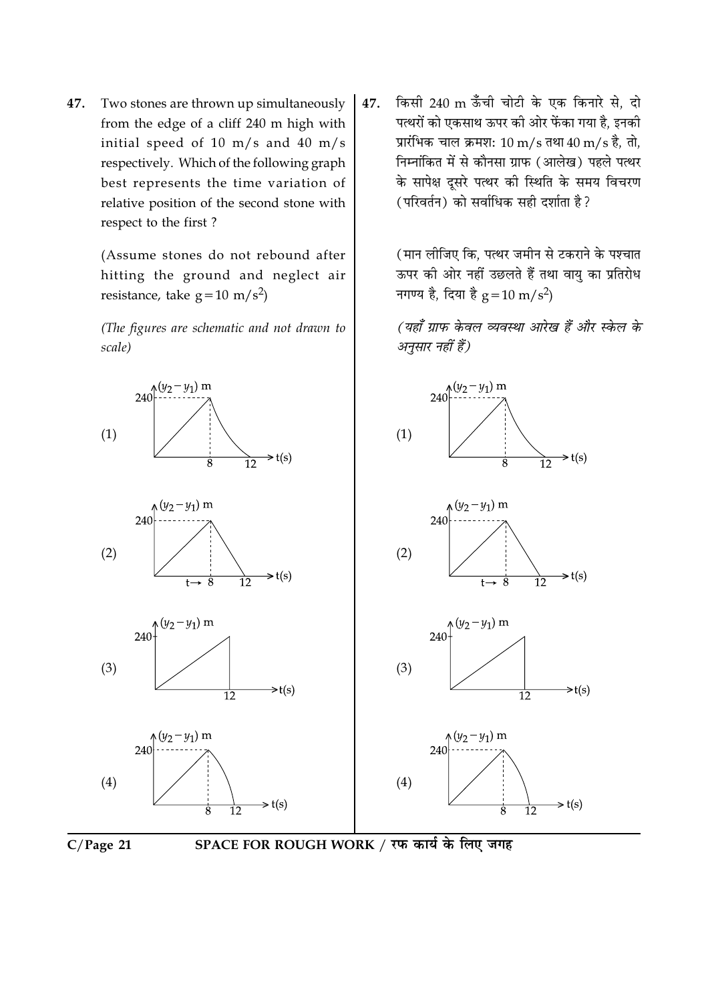47. Two stones are thrown up simultaneously from the edge of a cliff 240 m high with initial speed of 10 m/s and 40 m/s respectively. Which of the following graph best represents the time variation of relative position of the second stone with respect to the first?

> (Assume stones do not rebound after hitting the ground and neglect air resistance, take  $g = 10 \text{ m/s}^2$

> (The figures are schematic and not drawn to scale)

किसी 240 m ऊँची चोटी के एक किनारे से, दो 47. पत्थरों को एकसाथ ऊपर की ओर फेंका गया है, इनकी प्रारंभिक चाल क्रमश: 10 m/s तथा 40 m/s है. तो. निम्नांकित में से कौनसा ग्राफ (आलेख) पहले पत्थर के सापेक्ष दुसरे पत्थर की स्थिति के समय विचरण (परिवर्तन) को सर्वाधिक सही दर्शाता है?

> (मान लीजिए कि. पत्थर जमीन से टकराने के पश्चात ऊपर की ओर नहीं उछलते हैं तथा वायु का प्रतिरोध नगण्य है, दिया है  $g = 10 \text{ m/s}^2$ )

> (यहाँ ग्राफ केवल व्यवस्था आरेख हैं और स्केल के अनसार नहीं हैं)



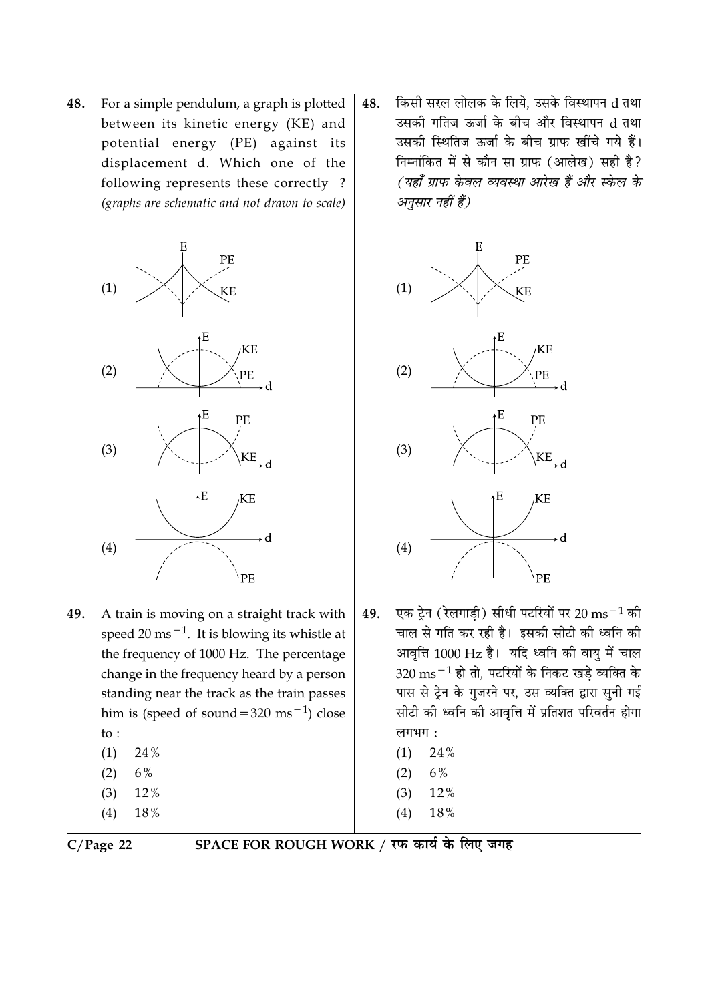For a simple pendulum, a graph is plotted 48. between its kinetic energy (KE) and potential energy (PE) against its displacement d. Which one of the following represents these correctly? (graphs are schematic and not drawn to scale)



- 49. A train is moving on a straight track with speed 20 ms<sup> $-1$ </sup>. It is blowing its whistle at the frequency of 1000 Hz. The percentage change in the frequency heard by a person standing near the track as the train passes him is (speed of sound =  $320 \text{ ms}^{-1}$ ) close to:  $(1)$ 24%
	- 6%  $(2)$
	- $(3)$ 12%
	- $(4)$ 18%
	-

किसी सरल लोलक के लिये. उसके विस्थापन d तथा 48. उसकी गतिज ऊर्जा के बीच और विस्थापन d तथा उसकी स्थितिज ऊर्जा के बीच ग्राफ खींचे गये हैं। निम्नांकित में से कौन सा ग्राफ (आलेख) सही है? (यहाँ ग्राफ केवल व्यवस्था आरेख हैं और स्केल के अनुसार नहीं हैं)



- एक टेन (रेलगाडी) सीधी पटरियों पर 20 ms $^{-1}$  की 49. चाल से गति कर रही है। इसकी सीटी की ध्वनि की आवृत्ति 1000 Hz है। यदि ध्वनि की वायु में चाल  $320 \text{ ms}^{-1}$  हो तो, पटरियों के निकट खडे व्यक्ति के पास से ट्रेन के गुजरने पर, उस व्यक्ति द्वारा सुनी गई सीटी की ध्वनि की आवृत्ति में प्रतिशत परिवर्तन होगा लगभग:
	- 24%  $(1)$
	- 6%  $(2)$
	- $(3)$ 12%
	- $(4)$  $18\,\%$
	-

 $C/Page$  22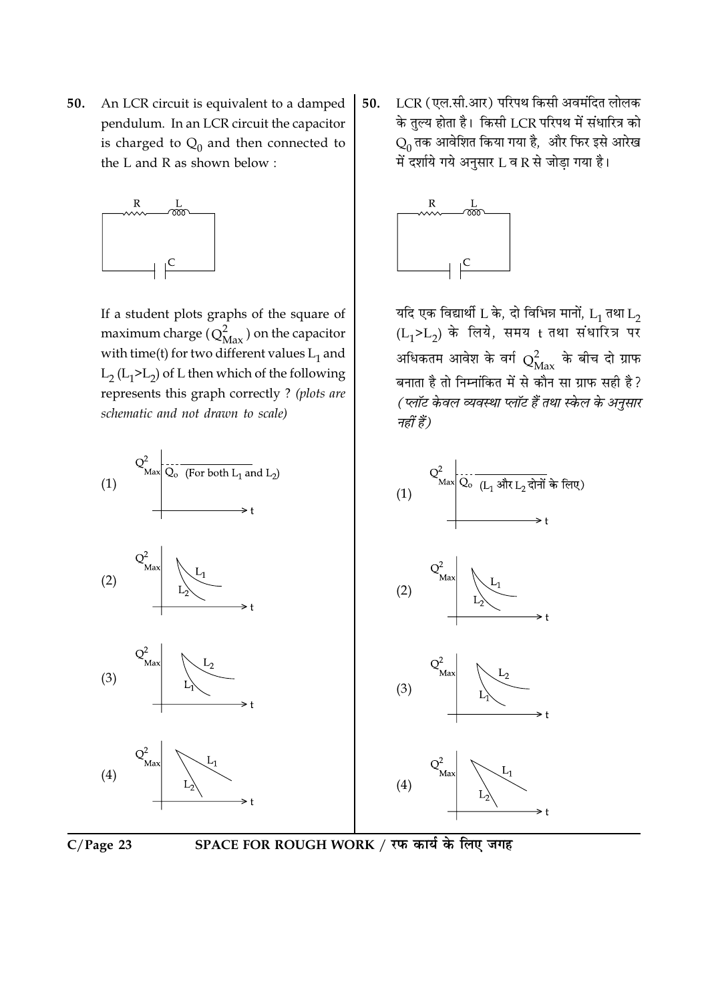An LCR circuit is equivalent to a damped 50. pendulum. In an LCR circuit the capacitor is charged to  $Q_0$  and then connected to the L and R as shown below:



If a student plots graphs of the square of maximum charge  $(Q_{\text{Max}}^2)$  on the capacitor with time(t) for two different values  $L_1$  and  $L_2$  ( $L_1$ > $L_2$ ) of L then which of the following represents this graph correctly ? (plots are schematic and not drawn to scale)

- $Q^2$ <sub>Max</sub>  $Q_o$  (For both L<sub>1</sub> and L<sub>2</sub>)  $\sum_{\text{Max}}^2 \frac{1}{Q_o} \frac{1}{(L_1 \text{ and } L_2 \text{ and } L_3)}$  $(1)$  $(1)$  $(2)$  $(2)$  $(3)$  $(3)$  $(4)$  $(4)$
- $C/Page$  23



LCR (एल.सी.आर) परिपथ किसी अवमंदित लोलक 50. के तुल्य होता है। किसी LCR परिपथ में संधारित्र को  $Q_0$  तक आवेशित किया गया है, और फिर इसे आरेख में दर्शाये गये अनुसार L व R से जोड़ा गया है।



यदि एक विद्यार्थी L के, दो विभिन्न मानों,  $L_1$  तथा  $L_2$  $(L_1 > L_2)$  के लिये, समय t तथा संधारित्र पर अधिकतम आवेश के वर्ग  $Q_{\rm Max}^2$  के बीच दो ग्राफ बनाता है तो निम्नांकित में से कौन सा ग्राफ सही है? (प्लॉट केवल व्यवस्था प्लॉट हैं तथा स्केल के अनुसार नहीं हैं)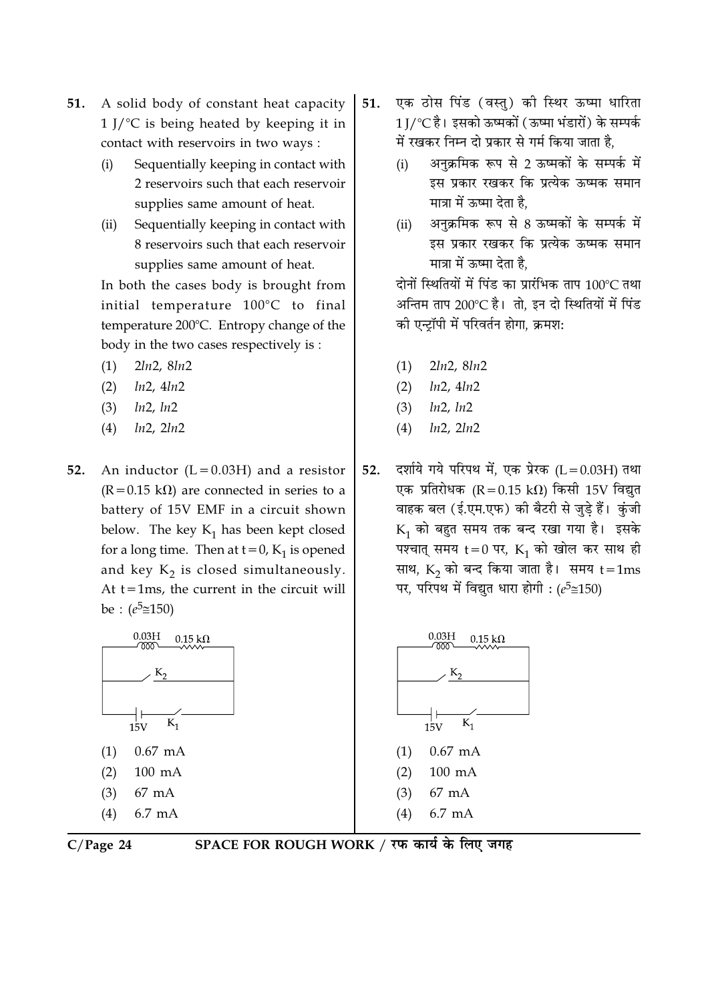- A solid body of constant heat capacity 51.  $1$  J/ $\degree$ C is being heated by keeping it in contact with reservoirs in two ways :
	- Sequentially keeping in contact with  $(i)$ 2 reservoirs such that each reservoir supplies same amount of heat.
	- Sequentially keeping in contact with  $(ii)$ 8 reservoirs such that each reservoir supplies same amount of heat.

In both the cases body is brought from initial temperature 100°C to final temperature 200°C. Entropy change of the body in the two cases respectively is :

- $2ln2, 8ln2$  $(1)$
- $ln2, 4ln2$  $(2)$
- $ln2, ln2$  $(3)$
- $(4)$  $ln2$ ,  $2ln2$
- 52. An inductor  $(L = 0.03H)$  and a resistor  $(R = 0.15 \text{ k}\Omega)$  are connected in series to a battery of 15V EMF in a circuit shown below. The key  $K_1$  has been kept closed for a long time. Then at  $t = 0$ ,  $K_1$  is opened and key  $K_2$  is closed simultaneously. At  $t = 1$ ms, the current in the circuit will be :  $(e^5 \cong 150)$





# SPACE FOR ROUGH WORK / रफ कार्य के लिए जगह

- एक ठोस पिंड (वस्तु) की स्थिर ऊष्मा धारिता 51. 1⊺/°C है। इसको ऊष्मकों (ऊष्मा भंडारों) के सम्पर्क में रखकर निम्न दो प्रकार से गर्म किया जाता है.
	- अनक्रमिक रूप से 2 ऊष्मकों के सम्पर्क में  $(i)$ इस प्रकार रखकर कि प्रत्येक ऊष्मक समान मात्रा में ऊष्मा देता है.
	- अनुक्रमिक रूप से 8 ऊष्मकों के सम्पर्क में  $(ii)$ इस प्रकार रखकर कि प्रत्येक ऊष्मक समान मात्रा में ऊष्मा देता है.

दोनों स्थितियों में पिंड का प्रारंभिक ताप 100°C तथा अन्तिम ताप 200℃ है। तो. इन दो स्थितियों में पिंड की एन्ट्रॉपी में परिवर्तन होगा, क्रमश:

- $2ln2, 8ln2$  $(1)$
- $ln2.$  4 $ln2$  $(2)$
- $(3)$  $ln2$ ,  $ln2$
- $(4)$  $ln2$ ,  $2ln2$
- दर्शाये गये परिपथ में, एक प्रेरक (L=0.03H) तथा 52. एक प्रतिरोधक (R = 0.15 k $\Omega$ ) किसी 15V विद्युत वाहक बल (ई.एम.एफ) की बैटरी से जुड़े हैं। कुंजी  $K_1$  को बहुत समय तक बन्द रखा गया है। इसके पश्चात् समय  $t = 0$  पर,  $K_1$  को खोल कर साथ ही साथ,  $K_2$  को बन्द किया जाता है। समय  $t = 1$ ms पर, परिपथ में विद्युत धारा होगी : ( $e^5 \approx 150$ )

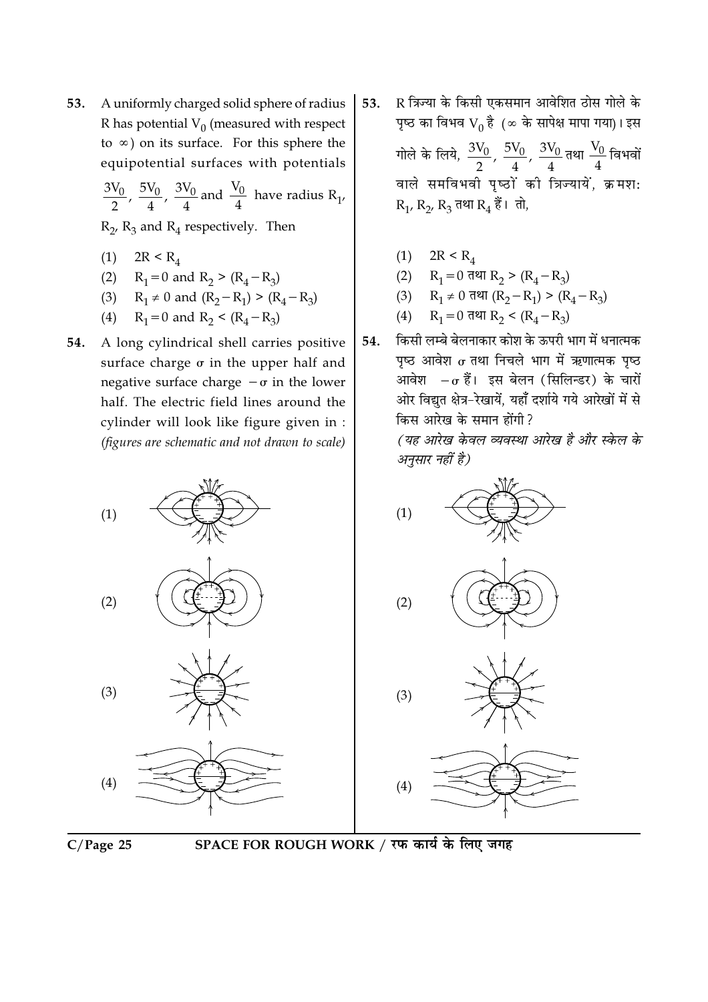A uniformly charged solid sphere of radius 53. R has potential  $V_0$  (measured with respect to  $\infty$ ) on its surface. For this sphere the equipotential surfaces with potentials

 $\frac{3V_0}{2}$ ,  $\frac{5V_0}{4}$ ,  $\frac{3V_0}{4}$  and  $\frac{V_0}{4}$  have radius R<sub>1</sub>,

 $R_2$ ,  $R_3$  and  $R_4$  respectively. Then

- (1)  $2R < R_4$
- (2)  $R_1 = 0$  and  $R_2 > (R_4 R_3)$
- (3)  $R_1 \neq 0$  and  $(R_2 R_1) > (R_4 R_3)$
- (4)  $R_1 = 0$  and  $R_2 < (R_4 R_3)$
- A long cylindrical shell carries positive 54. surface charge  $\sigma$  in the upper half and negative surface charge  $-\sigma$  in the lower half. The electric field lines around the cylinder will look like figure given in : (figures are schematic and not drawn to scale)
- R त्रिज्या के किसी एकसमान आवेशित ठोस गोले के 53. पृष्ठ का विभव  $V_0$  है (∞ के सापेक्ष मापा गया)। इस गोले के लिये,  $\frac{3V_0}{2}$ ,  $\frac{5V_0}{4}$ ,  $\frac{3V_0}{4}$ तथा  $\frac{V_0}{4}$ विभवों वाले समविभवी पृष्ठों की त्रिज्यायें, क्रमश:  $R_1, R_2, R_3$  तथा  $R_4$  हैं। तो,
	-
	- (1)  $2R < R_4$ <br>
	(2)  $R_1 = 0$  तथा  $R_2 > (R_4 R_3)$
	- (3)  $R_1 \neq 0$  तथा  $(R_2 R_1)$  >  $(R_4 R_3)$
	- (4)  $R_1 = 0$  तथा  $R_2 < (R_4 R_3)$
- किसी लम्बे बेलनाकार कोश के ऊपरी भाग में धनात्मक 54. पष्ठ आवेश  $\sigma$  तथा निचले भाग में ऋणात्मक पष्ठ आवेश  $-\sigma$  हैं। इस बेलन (सिलिन्डर) के चारों ओर विद्युत क्षेत्र-रेखायें, यहाँ दर्शाये गये आरेखों में से किस आरेख के समान होंगी ?

(यह आरेख केवल व्यवस्था आरेख है और स्केल के अनुसार नहीं है)





 $(1)$ 

 $(2)$ 

 $(3)$ 

 $(4)$ 

SPACE FOR ROUGH WORK / रफ कार्य के लिए जगह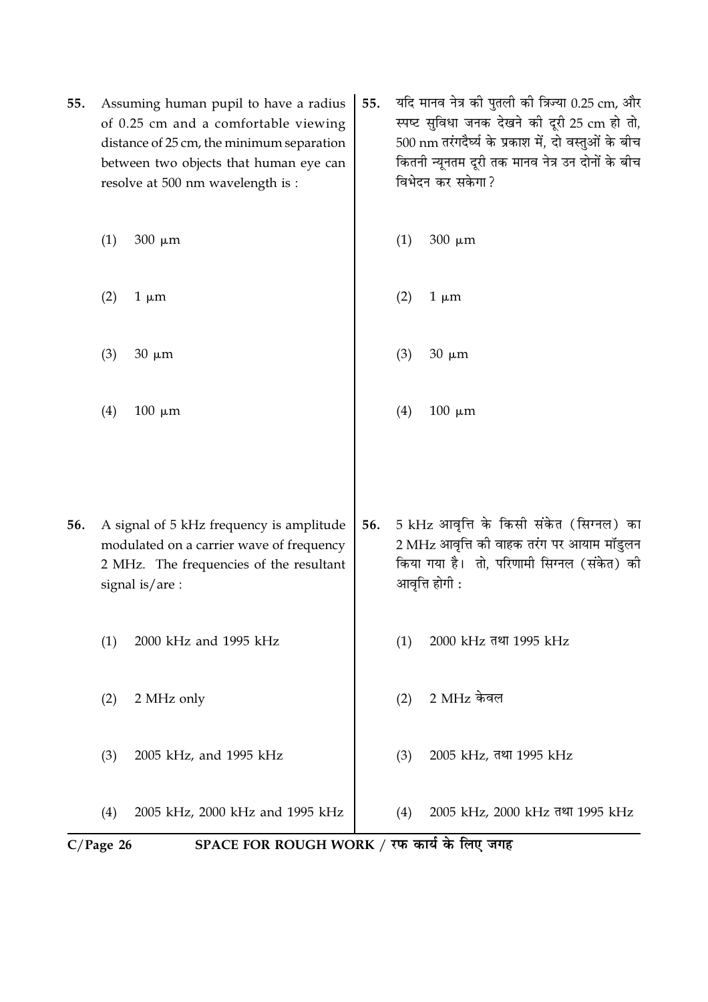| 55. |                                                                                                                                                    | Assuming human pupil to have a radius<br>of 0.25 cm and a comfortable viewing<br>distance of 25 cm, the minimum separation<br>between two objects that human eye can<br>resolve at 500 nm wavelength is : | यदि मानव नेत्र को पुतली को त्रिज्या 0.25 cm, और<br>55.<br>स्पष्ट सुविधा जनक देखने की दूरी 25 cm हो तो,<br>500 nm तरंगदैर्घ्य के प्रकाश में, दो वस्तुओं के बीच<br>कितनी न्यूनतम दूरी तक मानव नेत्र उन दोनों के बीच<br>विभेदन कर सकेगा? |     |                                                                                                                                                       |  |  |
|-----|----------------------------------------------------------------------------------------------------------------------------------------------------|-----------------------------------------------------------------------------------------------------------------------------------------------------------------------------------------------------------|---------------------------------------------------------------------------------------------------------------------------------------------------------------------------------------------------------------------------------------|-----|-------------------------------------------------------------------------------------------------------------------------------------------------------|--|--|
|     | (1)                                                                                                                                                | $300 \mu m$                                                                                                                                                                                               |                                                                                                                                                                                                                                       | (1) | $300 \mu m$                                                                                                                                           |  |  |
|     | (2)                                                                                                                                                | $1 \mu m$                                                                                                                                                                                                 |                                                                                                                                                                                                                                       | (2) | $1 \mu m$                                                                                                                                             |  |  |
|     | (3)                                                                                                                                                | $30 \mu m$                                                                                                                                                                                                |                                                                                                                                                                                                                                       | (3) | $30 \mu m$                                                                                                                                            |  |  |
|     | (4)                                                                                                                                                | $100 \mu m$                                                                                                                                                                                               |                                                                                                                                                                                                                                       | (4) | $100 \mu m$                                                                                                                                           |  |  |
|     |                                                                                                                                                    |                                                                                                                                                                                                           |                                                                                                                                                                                                                                       |     |                                                                                                                                                       |  |  |
| 56. | A signal of 5 kHz frequency is amplitude<br>modulated on a carrier wave of frequency<br>2 MHz. The frequencies of the resultant<br>signal is/are : |                                                                                                                                                                                                           | 56.                                                                                                                                                                                                                                   |     | 5 kHz आवृत्ति के किसी संकेत (सिग्नल) का<br>2 MHz आवृत्ति की वाहक तरंग पर आयाम मॉडुलन<br>किया गया है।  तो, परिणामी सिग्नल (संकेत) की<br>आवृत्ति होगी : |  |  |
|     | (1)                                                                                                                                                | 2000 kHz and 1995 kHz                                                                                                                                                                                     |                                                                                                                                                                                                                                       | (1) | 2000 kHz तथा 1995 kHz                                                                                                                                 |  |  |
|     | (2)                                                                                                                                                | 2 MHz only                                                                                                                                                                                                |                                                                                                                                                                                                                                       | (2) | 2 MHz केवल                                                                                                                                            |  |  |
|     | (3)                                                                                                                                                | 2005 kHz, and 1995 kHz                                                                                                                                                                                    |                                                                                                                                                                                                                                       | (3) | 2005 kHz, तथा 1995 kHz                                                                                                                                |  |  |
|     | (4)                                                                                                                                                | 2005 kHz, 2000 kHz and 1995 kHz                                                                                                                                                                           |                                                                                                                                                                                                                                       | (4) | 2005 kHz, 2000 kHz तथा 1995 kHz                                                                                                                       |  |  |
|     | SPACE FOR ROUGH WORK / रफ कार्य के लिए जगह<br>$C/Page$ 26                                                                                          |                                                                                                                                                                                                           |                                                                                                                                                                                                                                       |     |                                                                                                                                                       |  |  |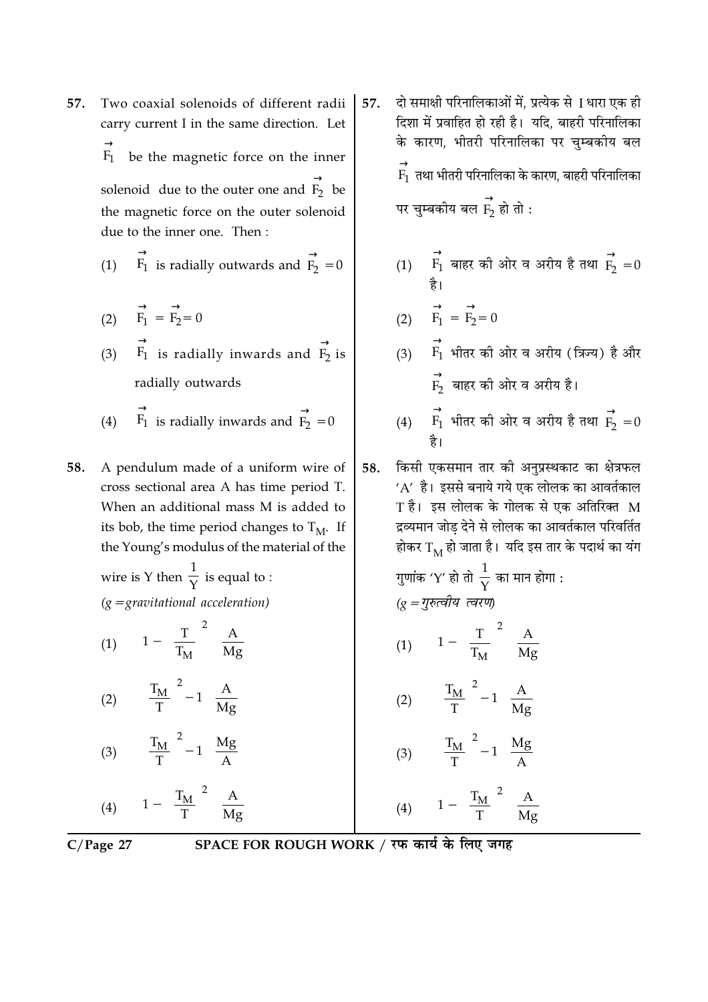- Two coaxial solenoids of different radii 57. carry current I in the same direction. Let be the magnetic force on the inner  $F_1$ solenoid due to the outer one and  $\overrightarrow{F_2}$  be the magnetic force on the outer solenoid due to the inner one. Then:
	- $\overrightarrow{F_1}$  is radially outwards and  $\overrightarrow{F_2} = 0$  $(1)$
	- (2)  $\overrightarrow{F_1} = \overrightarrow{F_2} = 0$
	- (3)  $\overrightarrow{F_1}$  is radially inwards and  $\overrightarrow{F_2}$  is radially outwards
	- $\overrightarrow{F_1}$  is radially inwards and  $\overrightarrow{F_2} = 0$  $(4)$
- 58. A pendulum made of a uniform wire of cross sectional area A has time period T. When an additional mass M is added to its bob, the time period changes to  $T_M$ . If the Young's modulus of the material of the
	- wire is Y then  $\frac{1}{y}$  is equal to :  $(g = gravitational acceleration)$
	- (1)  $1 \left(\frac{T}{T_M}\right)^2 \frac{A}{Mg}$
	- (2)  $\left| \left( \frac{T_M}{T} \right)^2 1 \right| \frac{A}{Mg}$
	- $\left[\left(\frac{T_M}{T}\right)^2 1\right] \frac{Mg}{A}$  $(3)$

(4)  $\left|1-\left(\frac{T_M}{T}\right)^2\right| \frac{A}{Mg}$ 

- दो समाक्षी परिनालिकाओं में. प्रत्येक से । धारा एक ही 57. दिशा में प्रवाहित हो रही है। यदि, बाहरी परिनालिका के कारण. भीतरी परिनालिका पर चम्बकीय बल  $\stackrel{\rightarrow}{\mathrm{F}}$  तथा भीतरी परिनालिका के कारण, बाहरी परिनालिका पर चुम्बकीय बल  $\overrightarrow{F}$  हो तो :
	- (1)  $\overrightarrow{F_1}$  बाहर की ओर व अरीय है तथा  $\overrightarrow{F_2} = 0$

$$
\overrightarrow{F_1} = \overrightarrow{F_2} = 0
$$

- $\overrightarrow{F_1}$  भीतर की ओर व अरीय (त्रिज्य) है और  $\overrightarrow{F_2}$  बाहर को ओर व अरीय है।
- (4)  $\overrightarrow{F_1}$  भीतर की ओर व अरीय है तथा  $\overrightarrow{F_2} = 0$
- किसी एकसमान तार की अनुप्रस्थकाट का क्षेत्रफल 58.  $'A'$  है। इससे बनाये गये एक लोलक का आवर्तकाल  $T$  है। इस लोलक के गोलक से एक अतिरिक्त  $M$ द्रव्यमान जोड देने से लोलक का आवर्तकाल परिवर्तित होकर  $\text{T}_{\text{M}}$  हो जाता है। यदि इस तार के पदार्थ का यंग

Using the equation 
$$
q = \frac{1}{2}\pi r
$$
 and  $\frac{1}{2}\pi r$ .

\n(a)  $\left[1 - \left(\frac{T}{T_M}\right)^2\right] \frac{A}{Mg}$ 

\n(b)  $\left[\left(\frac{T_M}{T}\right)^2 - 1\right] \frac{A}{Mg}$ 

\n(c)  $\left[\left(\frac{T_M}{T}\right)^2 - 1\right] \frac{A}{Mg}$ 

\n(d)  $\left[1 - \left(\frac{T_M}{T}\right)^2\right] \frac{Mg}{A}$ 

\n(e)  $\left[1 - \left(\frac{T_M}{T}\right)^2\right] \frac{A}{Mg}$ 

 $C/Page 27$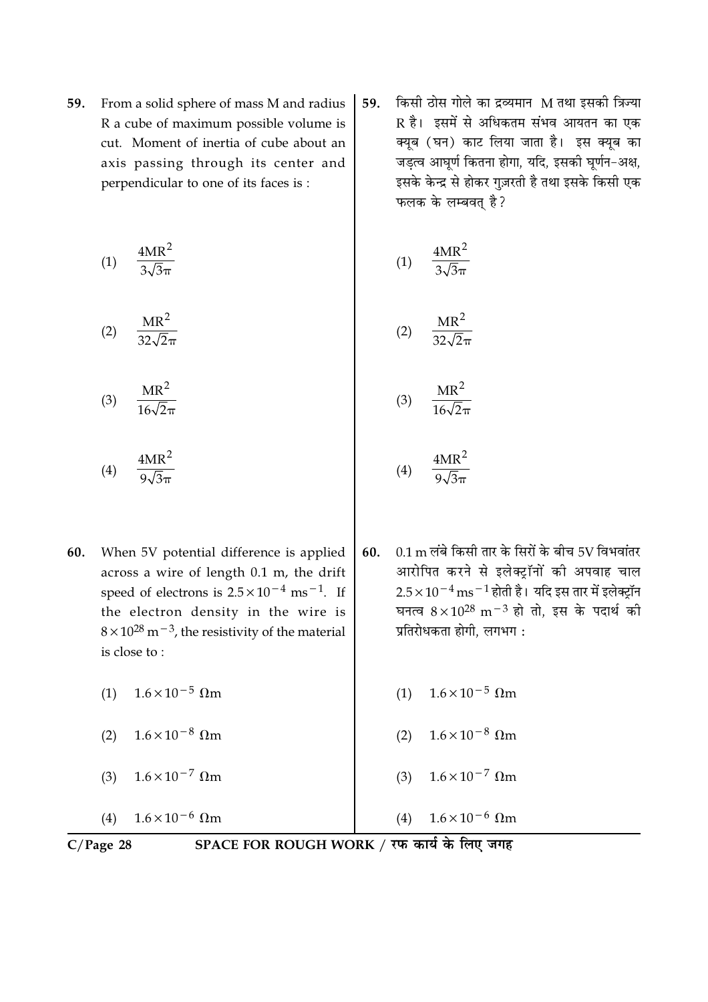From a solid sphere of mass M and radius 59. R a cube of maximum possible volume is cut. Moment of inertia of cube about an axis passing through its center and perpendicular to one of its faces is:

$$
(1) \quad \frac{4MR^2}{3\sqrt{3}\pi}
$$

$$
(2) \quad \frac{\text{MR}^2}{32\sqrt{2}\pi}
$$

$$
(3) \qquad \frac{\text{MR}^2}{16\sqrt{2}\pi}
$$

$$
(4) \quad \frac{4MR^2}{9\sqrt{3}\pi}
$$

- 60. When 5V potential difference is applied across a wire of length  $0.1$  m, the drift speed of electrons is  $2.5 \times 10^{-4}$  ms<sup>-1</sup>. If the electron density in the wire is  $8 \times 10^{28}$  m<sup>-3</sup>, the resistivity of the material is close to:
	- (1)  $1.6 \times 10^{-5}$  Ωm
	- (2)  $1.6 \times 10^{-8}$  Ωm
	- $1.6 \times 10^{-7}$  Ωm  $(3)$

 $1.6 \times 10^{-6}$  Ωm  $(4)$ 

किसी ठोस गोले का द्रव्यमान M तथा इसकी त्रिज्या 59. R है। इसमें से अधिकतम संभव आयतन का एक क्यूब (घन) काट लिया जाता है। इस क्यूब का जडत्व आघूर्ण कितना होगा, यदि, इसकी घूर्णन-अक्ष, इसके केन्द्र से होकर गुज़रती है तथा इसके किसी एक फलक के लम्बवत है?

$$
(1) \quad \frac{4MR^2}{3\sqrt{3}\pi}
$$

$$
(2) \qquad \frac{\text{MR}^2}{32\sqrt{2}\pi}
$$

$$
(3) \quad \frac{\text{MR}^2}{16\sqrt{2}\pi}
$$

$$
(4) \quad \frac{4MR^2}{9\sqrt{3}\pi}
$$

- $0.1 \text{ m}$  लंबे किसी तार के सिरों के बीच 5V विभवांतर 60. आरोपित करने से इलेक्ट्रॉनों की अपवाह चाल  $2.5 \times 10^{-4}$  ms $^{-1}$  होती है। यदि इस तार में इलेक्ट्रॉन घनत्व  $8 \times 10^{28}$  m<sup>-3</sup> हो तो, इस के पदार्थ की प्रतिरोधकता होगी, लगभग:
	- (1)  $1.6 \times 10^{-5}$  Ωm
	- (2)  $1.6 \times 10^{-8}$  Ωm
	- $1.6 \times 10^{-7}$   $\Omega$ m  $(3)$

$$
(4) \qquad 1.6 \times 10^{-6} \text{ }\Omega\text{m}
$$

 $C/Page$  28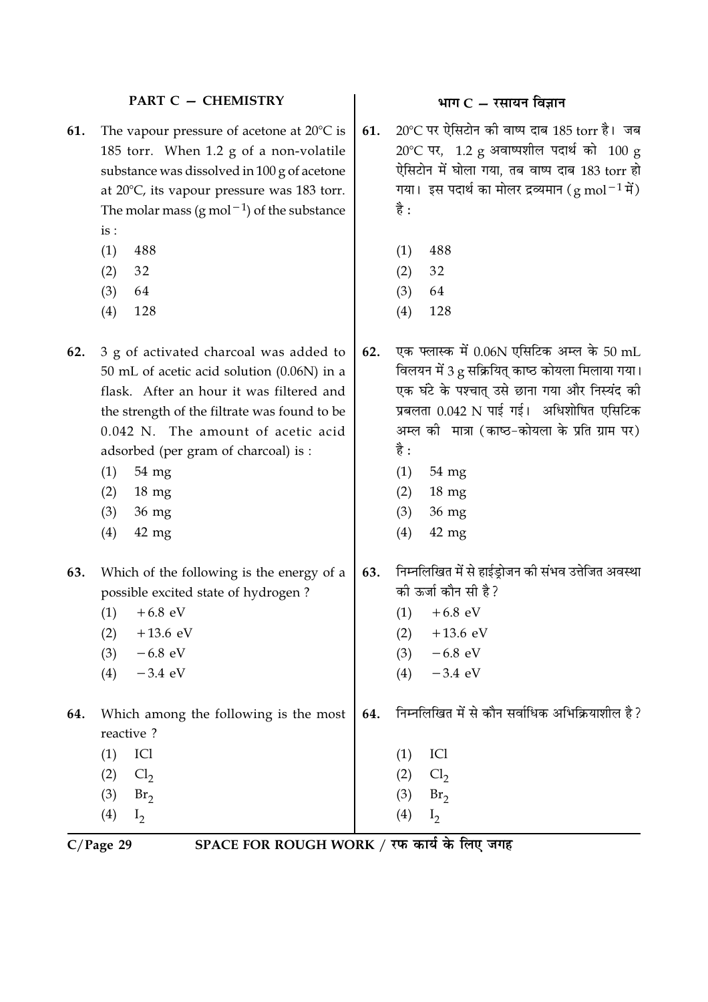#### **PART C - CHEMISTRY**

- The vapour pressure of acetone at 20°C is 61. 185 torr. When 1.2 g of a non-volatile substance was dissolved in 100 g of acetone at  $20^{\circ}$ C, its vapour pressure was 183 torr. The molar mass (g mol<sup> $-1$ </sup>) of the substance  $is:$ 
	- $(1)$ 488
	- $(2)$ 32
	- $(3)$ 64
	- $(4)$ 128
- 3 g of activated charcoal was added to 62. 50 mL of acetic acid solution (0.06N) in a flask. After an hour it was filtered and the strength of the filtrate was found to be  $0.042$  N. The amount of acetic acid adsorbed (per gram of charcoal) is :
	- 54 mg  $(1)$
	- $18 \text{ mg}$  $(2)$
	- $(3)$ 36 mg
	- $(4)$  $42$  mg
- Which of the following is the energy of a 63. possible excited state of hydrogen?
	- $+6.8$  eV  $(1)$  $(2)$  $+13.6$  eV
	- $-6.8$  eV  $(3)$
	- $-3.4$  eV  $(4)$
- 64. Which among the following is the most reactive?
	- $(1)$ ICl  $(2)$  $Cl<sub>2</sub>$  $(3)$  $Br<sub>2</sub>$
	- $(4)$  $I<sub>2</sub>$

भाग $C - \bar{x}$ सायन विज्ञान

20°C पर ऐसिटोन की वाष्प दाब 185 torr है। जब 61.  $20^{\circ}$ C पर, 1.2 g अवाष्पशील पदार्थ को 100 g ऐसिटोन में घोला गया, तब वाष्प दाब 183 torr हो गया। इस पदार्थ का मोलर द्रव्यमान ( $g \text{ mol}^{-1}$ में) है :

- 488  $(1)$
- 32  $(2)$
- $(3)$ 64
- $(4)$ 128
- एक फ्लास्क में 0.06N एसिटिक अम्ल के 50 mL  $62.$ विलयन में 3 g सक्रियित काष्ठ कोयला मिलाया गया। एक घंटे के पश्चात उसे छाना गया और निस्यंद की प्रबलता 0.042 N पाई गई। अधिशोषित एसिटिक अम्ल की मात्रा (काष्ठ-कोयला के प्रति ग्राम पर) है :
	- 54 mg  $(1)$
	- $18 \text{ mg}$  $(2)$
	- 36 mg  $(3)$
	- $42$  mg  $(4)$
- निम्नलिखित में से हाईड़ोजन की संभव उत्तेजित अवस्था 63. की ऊर्जा कौन सी है ?
	- $+6.8$  eV  $(1)$
	- $(2)$  $+13.6$  eV
	- $-6.8$  eV  $(3)$ 
		- $(4)$  $-3.4$  eV

निम्नलिखित में से कौन सर्वाधिक अभिक्रियाशील है? 64.

- ICl  $(1)$
- $(2)$  $Cl<sub>2</sub>$
- $(3)$  $Br<sub>2</sub>$
- $(4)$  $I<sub>2</sub>$

 $C/Page$  29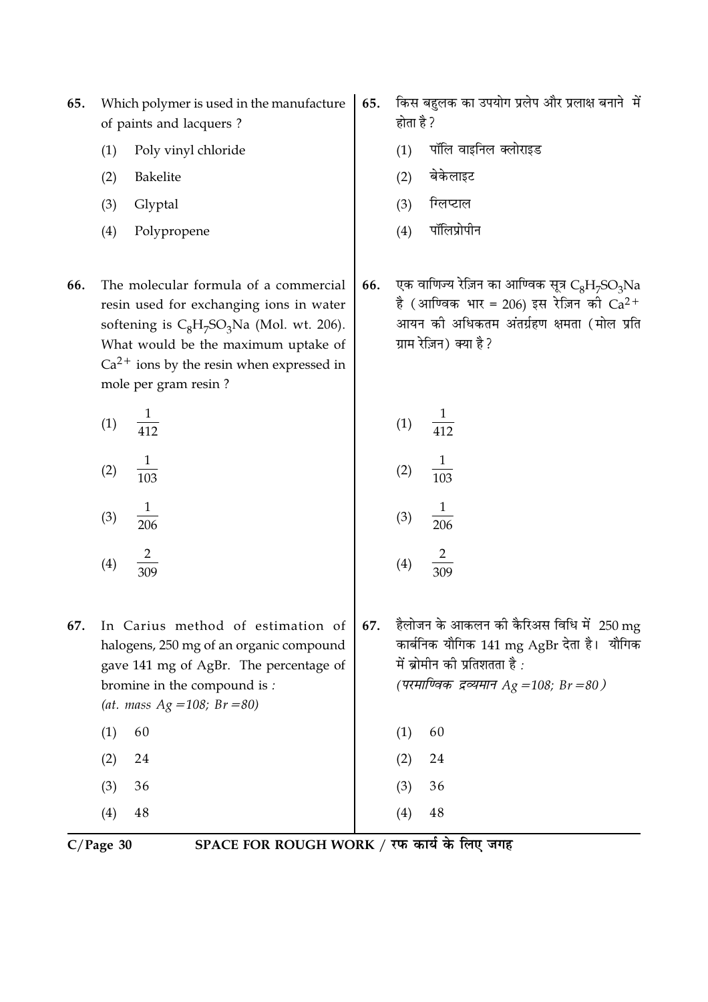- Which polymer is used in the manufacture 65. of paints and lacquers?
	- Poly vinyl chloride  $(1)$
	- $(2)$ Bakelite
	- $(3)$ Glyptal
	- $(4)$ Polypropene
- 66. The molecular formula of a commercial resin used for exchanging ions in water softening is  $C_8H_7SO_3Na$  (Mol. wt. 206). What would be the maximum uptake of  $Ca<sup>2+</sup>$  ions by the resin when expressed in mole per gram resin ?

 $\frac{1}{412}$  $(1)$ 

- $\frac{1}{103}$  $(2)$
- $\frac{1}{206}$  $(3)$
- $\overline{2}$  $(4)$
- 67. In Carius method of estimation of halogens, 250 mg of an organic compound gave 141 mg of AgBr. The percentage of bromine in the compound is: (at. mass  $Ag = 108$ ;  $Br = 80$ )
	- $(1)$ 60
	- $(2)$ 24
	- $(3)$ 36

 $(4)$ 48

 $C/Page$  30

SPACE FOR ROUGH WORK / रफ कार्य के लिए जगह

- किस बहुलक का उपयोग प्रलेप और प्रलाक्ष बनाने में 65. होता है ?
	- पॉलि वाइनिल क्लोराइड  $(1)$
	- बेकेलाइट  $(2)$
	- ग्लिप्टाल  $(3)$
	- पॉलिप्रोपीन  $(4)$

एक वाणिज्य रेज़िन का आण्विक सूत्र  $C_8H_7SO_3Na$ 66. है (आण्विक भार = 206) इस रेज़िन की  $Ca^{2+}$ आयन की अधिकतम अंतर्ग्रहण क्षमता (मोल प्रति ग्राम रेज़िन) क्या है?

> $\frac{1}{412}$  $(1)$  $(2)$  $\frac{1}{206}$  $(3)$  $\overline{2}$  $(4)$

हैलोजन के आकलन की कैरिअस विधि में 250 mg 67. कार्बनिक यौगिक 141 mg AgBr देता है। यौगिक में ब्रोमीन की प्रतिशतता है: (परमाण्विक द्रव्यमान Ag = 108; Br = 80)

> $(1)$ 60 24

 $(2)$ 

 $(3)$ 36

 $(4)$ 

48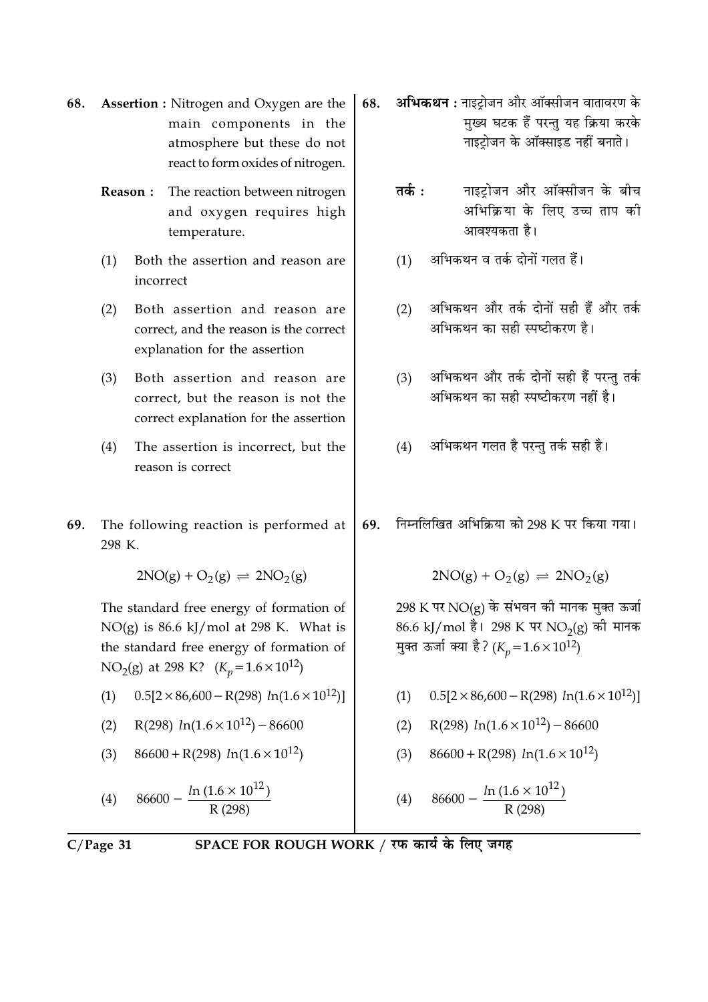- **Assertion :** Nitrogen and Oxygen are the 68. main components in the atmosphere but these do not react to form oxides of nitrogen.
	- Reason: The reaction between nitrogen and oxygen requires high temperature.
	- $(1)$ Both the assertion and reason are incorrect
	- Both assertion and reason are  $(2)$ correct, and the reason is the correct explanation for the assertion
	- Both assertion and reason are  $(3)$ correct, but the reason is not the correct explanation for the assertion
	- $(4)$ The assertion is incorrect, but the reason is correct
- 69. The following reaction is performed at 298 K.

$$
2NO(g) + O_2(g) \implies 2NO_2(g)
$$

The standard free energy of formation of  $NO(g)$  is 86.6 kJ/mol at 298 K. What is the standard free energy of formation of NO<sub>2</sub>(g) at 298 K? ( $K_n$ =1.6 × 10<sup>12</sup>)

- $0.5[2 \times 86,600 R(298) \ln(1.6 \times 10^{12})]$  $(1)$
- R(298)  $ln(1.6 \times 10^{12}) 86600$  $(2)$
- $86600 + R(298) ln(1.6 \times 10^{12})$  $(3)$

(4) 86600 - 
$$
\frac{\ln(1.6 \times 10^{12})}{R(298)}
$$

$$
C/Page\ 31
$$

SPACE FOR ROUGH WORK / रफ कार्य के लिए जगह

- अभिकथन : नाइटोजन और ऑक्सीजन वातावरण के 68. मुख्य घटक हैं परन्तु यह क्रिया करके नाइटोजन के ऑक्साइड नहीं बनाते।
	- नाइट्रोजन और ऑक्सीजन के बीच तर्क $\cdot$ अभिक्रिया के लिए उच्च ताप की आवश्यकता है।
	- अभिकथन व तर्क दोनों गलत हैं।  $(1)$
	- अभिकथन और तर्क दोनों सही हैं और तर्क  $(2)$ अभिकथन का सही स्पष्टीकरण है।
	- अभिकथन और तर्क दोनों सही हैं परन्तु तर्क  $(3)$ अभिकथन का सही स्पष्टीकरण नहीं है।
	- अभिकथन गलत है परन्तु तर्क सही है।  $(4)$
- निम्नलिखित अभिक्रिया को 298 K पर किया गया। 69.

 $2NO(g) + O_2(g) \rightleftharpoons 2NO_2(g)$ 

298 K पर NO(g) के संभवन की मानक मुक्त ऊर्जा 86.6 kJ/mol है। 298 K पर NO<sub>2</sub>(g) की मानक मुक्त ऊर्जा क्या है? ( $K_p = 1.6 \times 10^{12}$ )

- $0.5[2 \times 86,600 R(298) \ln(1.6 \times 10^{12})]$  $(1)$
- R(298)  $ln(1.6 \times 10^{12}) 86600$  $(2)$
- $86600 + R(298) ln(1.6 \times 10^{12})$  $(3)$

(4) 86600 - 
$$
\frac{\ln(1.6 \times 10^{12})}{R (298)}
$$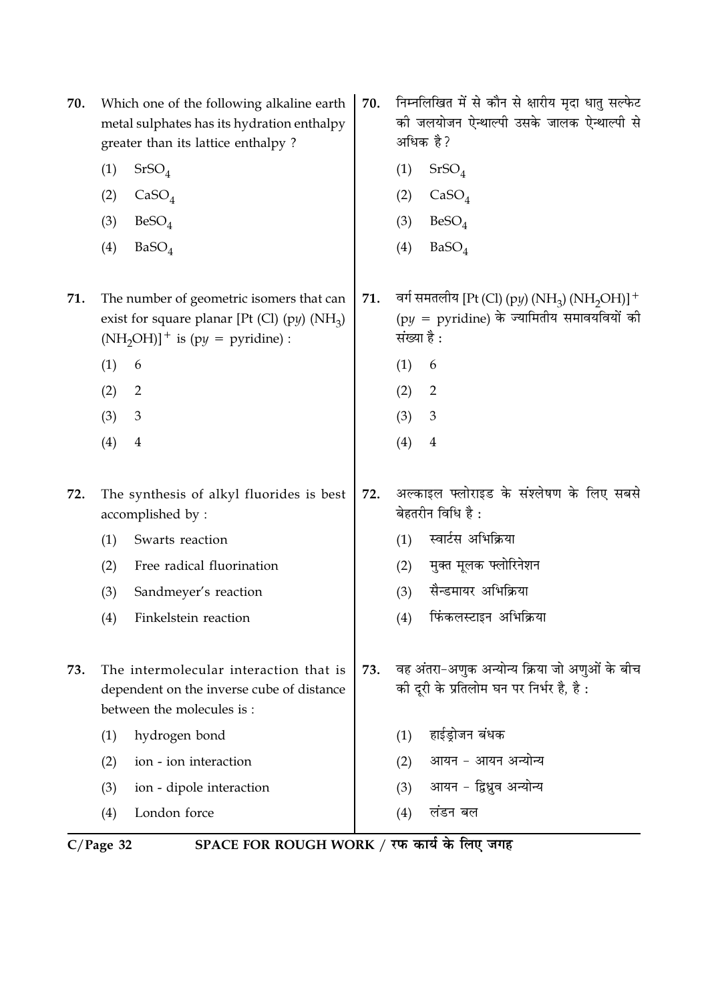| 70. | Which one of the following alkaline earth<br>metal sulphates has its hydration enthalpy<br>greater than its lattice enthalpy?    | 70. | निम्नलिखित में से कौन से क्षारीय मृदा धातु सल्फेट<br>की जलयोजन ऐन्थाल्पी उसके जालक ऐन्थाल्पी से<br>अधिक है?                                    |
|-----|----------------------------------------------------------------------------------------------------------------------------------|-----|------------------------------------------------------------------------------------------------------------------------------------------------|
|     | (1)<br>SrSO <sub>4</sub>                                                                                                         |     | (1)<br>SrSO <sub>4</sub>                                                                                                                       |
|     | (2)<br>CaSO <sub>4</sub>                                                                                                         |     | CaSO <sub>4</sub><br>(2)                                                                                                                       |
|     | BeSO <sub>4</sub><br>(3)                                                                                                         |     | BeSO <sub>4</sub><br>(3)                                                                                                                       |
|     | (4)<br>BaSO <sub>4</sub>                                                                                                         |     | (4)<br>BaSO <sub>4</sub>                                                                                                                       |
| 71. | The number of geometric isomers that can<br>exist for square planar [Pt (Cl) (py) $(NH_3)$<br>$(NH_2OH)]^+$ is (py = pyridine) : | 71. | वर्ग समतलीय [Pt (Cl) (py) (NH <sub>3</sub> ) (NH <sub>2</sub> OH)] <sup>+</sup><br>$(py = pyridine)$ के ज्यामितीय समावयवियों की<br>संख्या है : |
|     | (1)<br>6                                                                                                                         |     | (1)<br>6                                                                                                                                       |
|     | (2)<br>2                                                                                                                         |     | (2)<br>$\overline{2}$                                                                                                                          |
|     | (3)<br>3                                                                                                                         |     | (3)<br>3                                                                                                                                       |
|     | (4)<br>$\boldsymbol{4}$                                                                                                          |     | (4)<br>$\overline{4}$                                                                                                                          |
| 72. | The synthesis of alkyl fluorides is best<br>accomplished by:                                                                     | 72. | अल्काइल फ्लोराइड के संश्लेषण के लिए सबसे<br>बेहतरीन विधि है :                                                                                  |
|     | (1)<br>Swarts reaction                                                                                                           |     | स्वार्टस अभिक्रिया<br>(1)                                                                                                                      |
|     | Free radical fluorination<br>(2)                                                                                                 |     | मुक्त मूलक फ्लोरिनेशन<br>(2)                                                                                                                   |
|     | (3)<br>Sandmeyer's reaction                                                                                                      |     | सैन्डमायर अभिक्रिया<br>(3)                                                                                                                     |
|     | (4)<br>Finkelstein reaction                                                                                                      |     | फिंकलस्टाइन अभिक्रिया<br>(4)                                                                                                                   |
| 73. | The intermolecular interaction that is<br>dependent on the inverse cube of distance<br>between the molecules is:                 | 73. | वह अंतरा-अणुक अन्योन्य क्रिया जो अणुओं के बीच<br>की दूरी के प्रतिलोम घन पर निर्भर है, है:                                                      |
|     | hydrogen bond<br>(1)                                                                                                             |     | हाईड्रोजन बंधक<br>(1)                                                                                                                          |
|     | ion - ion interaction<br>(2)                                                                                                     |     | आयन - आयन अन्योन्य<br>(2)                                                                                                                      |
|     | (3)<br>ion - dipole interaction                                                                                                  |     | आयन - द्विध्रुव अन्योन्य<br>(3)                                                                                                                |
|     | London force<br>(4)                                                                                                              |     | लंडन बल<br>(4)                                                                                                                                 |

C/Page 32 SPACE FOR ROUGH WORK / रफ कार्य के लिए जगह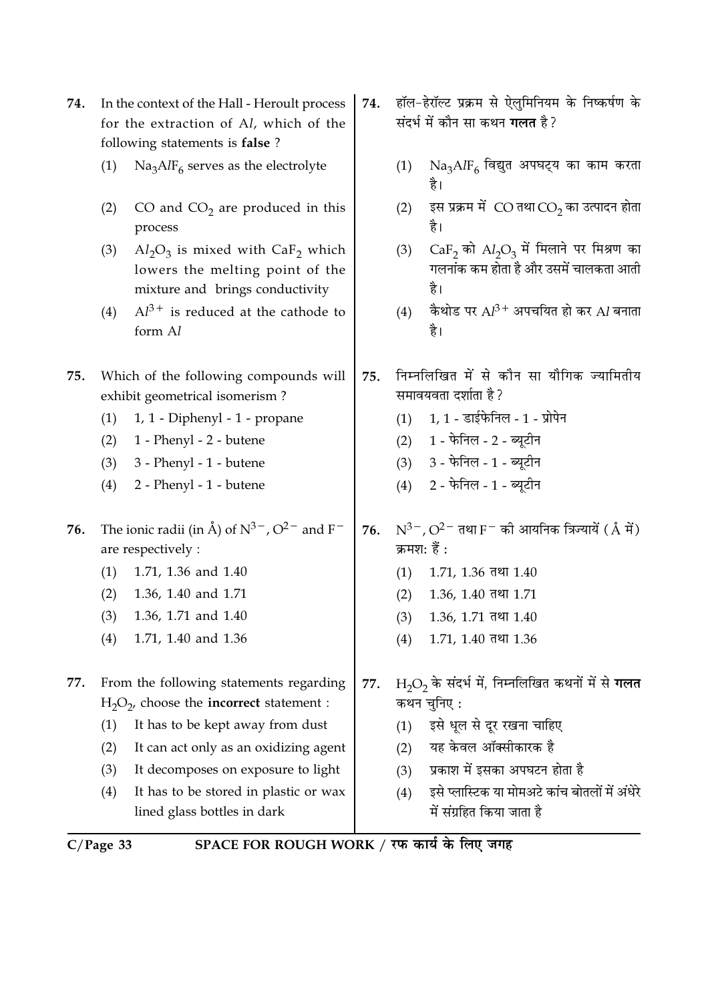| 74. | In the context of the Hall - Heroult process<br>for the extraction of Al, which of the<br>following statements is false? |                                                                                                                      |     | हॉल-हेरॉल्ट प्रक्रम से ऐलुमिनियम के निष्कर्षण के<br>संदर्भ में कौन सा कथन <b>गलत</b> है? |                                                                                            |  |
|-----|--------------------------------------------------------------------------------------------------------------------------|----------------------------------------------------------------------------------------------------------------------|-----|------------------------------------------------------------------------------------------|--------------------------------------------------------------------------------------------|--|
|     | (1)                                                                                                                      | $\text{Na}_3\text{AlF}_6$ serves as the electrolyte                                                                  |     | (1)                                                                                      | $\rm Na_{3}AlF_{6}$ विद्युत अपघट्य का काम करता<br>है।                                      |  |
|     | (2)                                                                                                                      | CO and $CO2$ are produced in this<br>process                                                                         |     | (2)                                                                                      | इस प्रक्रम में $\rm CO$ तथा $\rm CO_{2}$ का उत्पादन होता<br>है।                            |  |
|     | (3)                                                                                                                      | $Al_2O_3$ is mixed with CaF <sub>2</sub> which<br>lowers the melting point of the<br>mixture and brings conductivity |     | (3)                                                                                      | $CaF2$ को $Al2O3$ में मिलाने पर मिश्रण का<br>गलनांक कम होता है और उसमें चालकता आती<br>है।  |  |
|     | (4)                                                                                                                      | $Al^{3+}$ is reduced at the cathode to<br>form Al                                                                    |     | (4)                                                                                      | कैथोड पर $Al^{3+}$ अपचयित हो कर $Al$ बनाता<br>है।                                          |  |
| 75. |                                                                                                                          | Which of the following compounds will<br>exhibit geometrical isomerism?                                              | 75. |                                                                                          | निम्नलिखित में से कौन सा यौगिक ज्यामितीय<br>समावयवता दर्शाता है ?                          |  |
|     | (1)                                                                                                                      | 1, 1 - Diphenyl - 1 - propane                                                                                        |     | (1)                                                                                      | $1, 1$ - डाईफेनिल - $1$ - प्रोपेन                                                          |  |
|     | (2)                                                                                                                      | 1 - Phenyl - 2 - butene                                                                                              |     | (2)                                                                                      | 1 - फेनिल - 2 - ब्यूटीन                                                                    |  |
|     | (3)                                                                                                                      | 3 - Phenyl - 1 - butene                                                                                              |     | (3)                                                                                      | 3 - फेनिल - 1 - ब्यूटीन                                                                    |  |
|     | (4)                                                                                                                      | 2 - Phenyl - 1 - butene                                                                                              |     | (4)                                                                                      | 2 - फेनिल - 1 - ब्यूटीन                                                                    |  |
| 76. |                                                                                                                          | The ionic radii (in Å) of $N^{3-}$ , $O^{2-}$ and F <sup>-</sup><br>are respectively :                               | 76. |                                                                                          | $N^{3-}$ , O <sup>2-</sup> तथा F <sup>-</sup> की आयनिक त्रिज्यायें (Å में)<br>क्रमश: हैं : |  |
|     | (1)                                                                                                                      | 1.71, 1.36 and 1.40                                                                                                  |     | (1)                                                                                      | $1.71, 1.36$ तथा $1.40$                                                                    |  |
|     | (2)                                                                                                                      | 1.36, 1.40 and 1.71                                                                                                  |     | (2)                                                                                      | $1.36, 1.40$ तथा $1.71$                                                                    |  |
|     | (3)                                                                                                                      | 1.36, 1.71 and 1.40                                                                                                  |     | (3)                                                                                      | 1.36, 1.71 तथा 1.40                                                                        |  |
|     | (4)                                                                                                                      | 1.71, 1.40 and 1.36                                                                                                  |     | (4)                                                                                      | $1.71, 1.40$ तथा $1.36$                                                                    |  |
| 77. |                                                                                                                          | From the following statements regarding<br>$H_2O_2$ , choose the <b>incorrect</b> statement :                        | 77. |                                                                                          | $H_2O_2$ के संदर्भ में, निम्नलिखित कथनों में से <b>गलत</b><br>कथन चुनिए :                  |  |
|     | (1)                                                                                                                      | It has to be kept away from dust                                                                                     |     | (1)                                                                                      | इसे धूल से दूर रखना चाहिए                                                                  |  |
|     | (2)                                                                                                                      | It can act only as an oxidizing agent                                                                                |     | (2)                                                                                      | यह केवल ऑक्सीकारक है                                                                       |  |
|     | (3)                                                                                                                      | It decomposes on exposure to light                                                                                   |     | (3)                                                                                      | प्रकाश में इसका अपघटन होता है                                                              |  |
|     | (4)                                                                                                                      | It has to be stored in plastic or wax<br>lined glass bottles in dark                                                 |     | (4)                                                                                      | इसे प्लास्टिक या मोमअटे कांच बोतलों में अंधेरे<br>में संग्रहित किया जाता है                |  |
|     |                                                                                                                          |                                                                                                                      |     |                                                                                          |                                                                                            |  |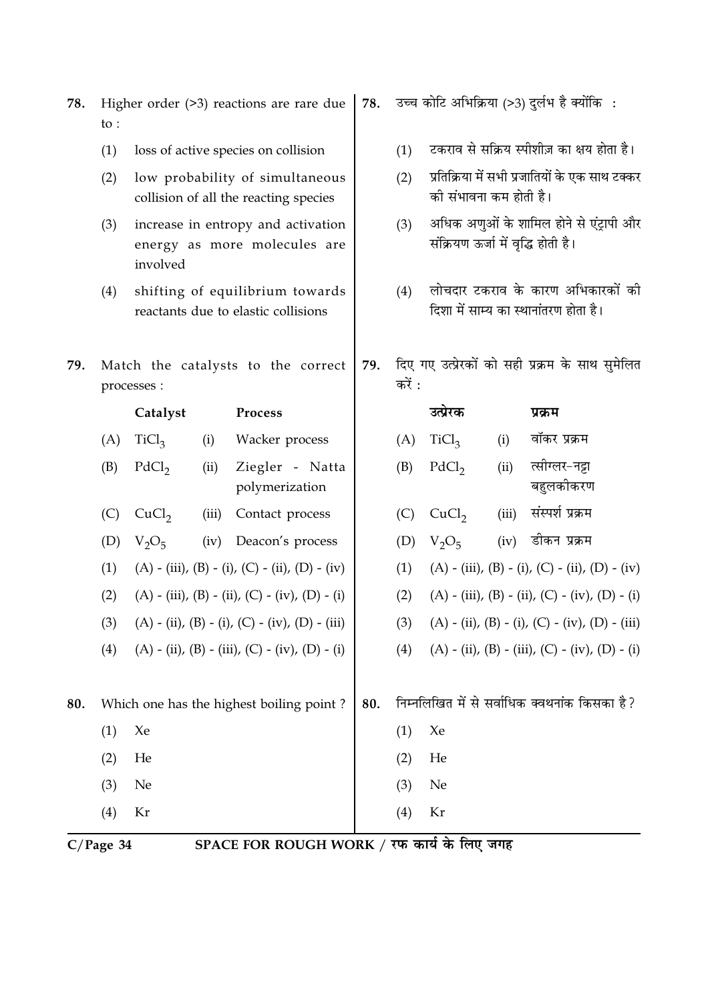|     |                                          | energy as more morecures are<br>involved                  |       |                                                                        |  |     | $\frac{1}{2}$ $\frac{1}{2}$ $\frac{1}{2}$ $\frac{1}{2}$ $\frac{1}{2}$ $\frac{1}{2}$ $\frac{1}{2}$ $\frac{1}{2}$ $\frac{1}{2}$ $\frac{1}{2}$ $\frac{1}{2}$ $\frac{1}{2}$ $\frac{1}{2}$ $\frac{1}{2}$ $\frac{1}{2}$ $\frac{1}{2}$ $\frac{1}{2}$ $\frac{1}{2}$ $\frac{1}{2}$ $\frac{1}{2}$ $\frac{1}{2}$ $\frac{1}{2}$ |       |                                                                            |
|-----|------------------------------------------|-----------------------------------------------------------|-------|------------------------------------------------------------------------|--|-----|---------------------------------------------------------------------------------------------------------------------------------------------------------------------------------------------------------------------------------------------------------------------------------------------------------------------|-------|----------------------------------------------------------------------------|
|     | (4)                                      |                                                           |       | shifting of equilibrium towards<br>reactants due to elastic collisions |  | (4) |                                                                                                                                                                                                                                                                                                                     |       | लोचदार टकराव के कारण अभिकारकों की<br>दिशा में साम्य का स्थानांतरण होता है। |
| 79. |                                          | Match the catalysts to the correct<br>processes :         |       |                                                                        |  |     | करें :                                                                                                                                                                                                                                                                                                              |       | दिए गए उत्प्रेरकों को सही प्रक्रम के साथ सुमेलित                           |
|     |                                          | Catalyst                                                  |       | Process                                                                |  |     | उत्प्रेरक                                                                                                                                                                                                                                                                                                           |       | प्रक्रम                                                                    |
|     | (A)                                      | TiCl <sub>3</sub>                                         | (i)   | Wacker process                                                         |  | (A) | TiCl <sub>3</sub>                                                                                                                                                                                                                                                                                                   | (i)   | वॉकर प्रक्रम                                                               |
|     | (B)                                      | PdCl <sub>2</sub>                                         | (ii)  | Ziegler - Natta<br>polymerization                                      |  | (B) | PdCl <sub>2</sub>                                                                                                                                                                                                                                                                                                   | (ii)  | त्सीग्लर-नद्ना<br>बहुलकीकरण                                                |
|     | (C)                                      | CuCl <sub>2</sub>                                         | (iii) | Contact process                                                        |  | (C) | CuCl <sub>2</sub>                                                                                                                                                                                                                                                                                                   | (iii) | संस्पर्श प्रक्रम                                                           |
|     | (D)                                      | $V_2O_5$                                                  | (iv)  | Deacon's process                                                       |  | (D) | $V_2O_5$                                                                                                                                                                                                                                                                                                            | (iv)  | डीकन प्रक्रम                                                               |
|     | (1)                                      | $(A) - (iii)$ , $(B) - (i)$ , $(C) - (ii)$ , $(D) - (iv)$ |       |                                                                        |  |     |                                                                                                                                                                                                                                                                                                                     |       | (A) - (iii), (B) - (i), (C) - (ii), (D) - (iv)                             |
|     | (2)                                      | $(A) - (iii)$ , $(B) - (ii)$ , $(C) - (iv)$ , $(D) - (i)$ |       |                                                                        |  |     |                                                                                                                                                                                                                                                                                                                     |       | (A) - (iii), (B) - (ii), (C) - (iv), (D) - (i)                             |
|     | (3)                                      |                                                           |       | $(A) - (ii), (B) - (i), (C) - (iv), (D) - (iii)$                       |  | (3) |                                                                                                                                                                                                                                                                                                                     |       | $(A) - (ii), (B) - (i), (C) - (iv), (D) - (iii)$                           |
|     | (4)                                      |                                                           |       | $(A) - (ii)$ , $(B) - (iii)$ , $(C) - (iv)$ , $(D) - (i)$              |  | (4) |                                                                                                                                                                                                                                                                                                                     |       | $(A) - (ii)$ , $(B) - (iii)$ , $(C) - (iv)$ , $(D) - (i)$                  |
| 80. | Which one has the highest boiling point? |                                                           |       |                                                                        |  |     |                                                                                                                                                                                                                                                                                                                     |       | निम्नलिखित में से सर्वाधिक क्वथनांक किसका है?                              |
|     | (1)                                      | Xe                                                        |       |                                                                        |  | (1) | Xe                                                                                                                                                                                                                                                                                                                  |       |                                                                            |
|     | (2)                                      | He                                                        |       |                                                                        |  | (2) | He                                                                                                                                                                                                                                                                                                                  |       |                                                                            |
|     | (3)                                      | Ne                                                        |       |                                                                        |  | (3) | Ne                                                                                                                                                                                                                                                                                                                  |       |                                                                            |
|     | (4)                                      | Kr                                                        |       |                                                                        |  | (4) | Kr                                                                                                                                                                                                                                                                                                                  |       |                                                                            |

low probability of simultaneous  $(2)$ 

loss of active species on collision

Higher order (>3) reactions are rare due

78.

to :

 $(1)$ 

collision of all the reacting species increase in entropy and activation  $(3)$ energy as more molecules are

उच्च कोटि अभिक्रिया (>3) दुर्लभ है क्योंकि: 78.

- टकराव से सक्रिय स्पीशीज़ का क्षय होता है।  $(1)$
- प्रतिक्रिया में सभी प्रजातियों के एक साथ टक्कर  $(2)$ की संभावना कम होती है।
- (3) अधिक अणुओं के शामिल होने से एंट्रापी और <u>संक्रियण ऊर्जा में वृत्ति होती है।</u>

 $C/Page$  34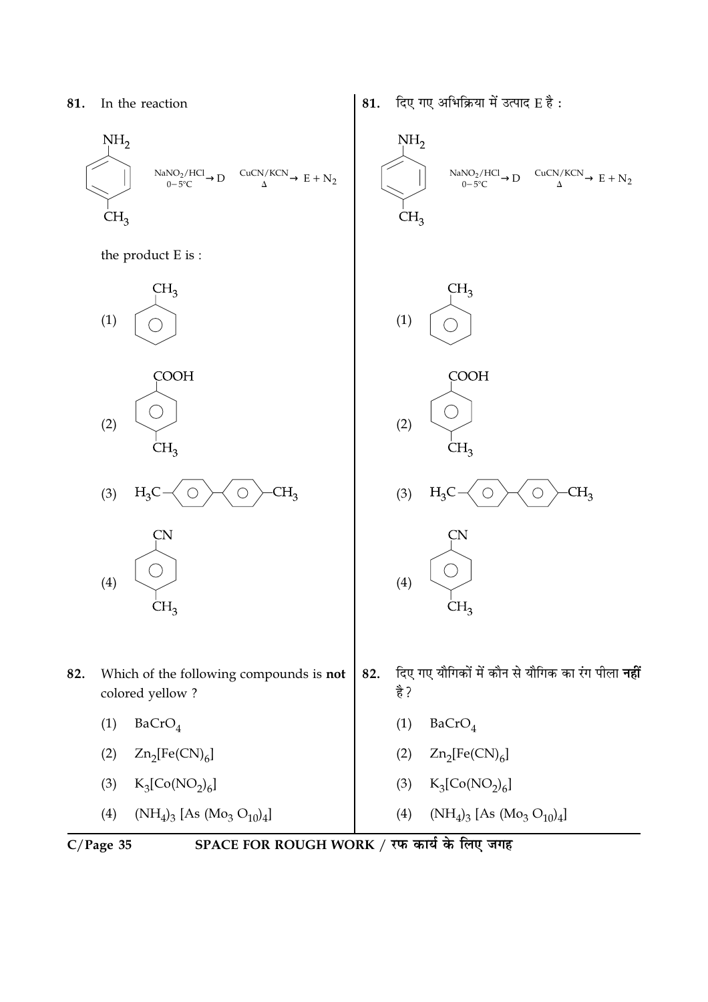

the product E is:



दिए गए अभिक्रिया में उत्पाद E है: 81.



 $(NH_4)_3$  [As  $(Mo_3 O_{10})_4$ ]

- colored yellow?
	- $BaCrO<sub>4</sub>$  $(1)$
	- $Zn_2[Fe(CN)_6]$  $(2)$
	- $K_3[Co(NO_2)_6]$  $(3)$
	- (4)  $(NH_4)_3$  [As  $(Mo_3 O_{10})_4$ ]
		-

 $(4)$ 

82.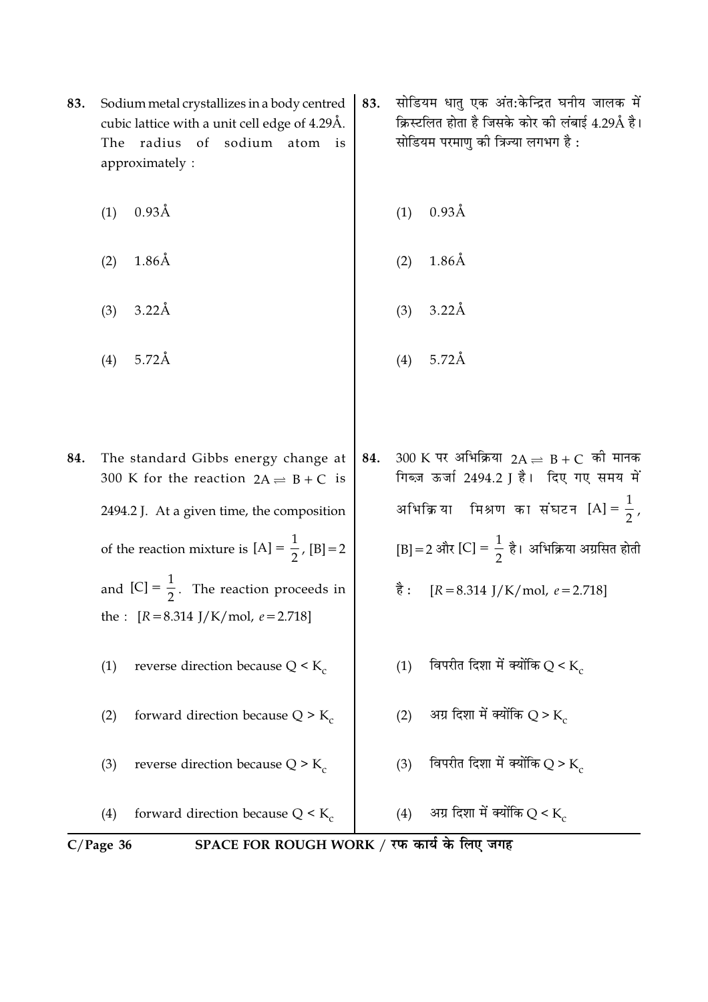|     | $C/Page$ 36 | SPACE FOR ROUGH WORK / रफ कार्य के लिए जगह                                                     |     |      |                                                                                                        |
|-----|-------------|------------------------------------------------------------------------------------------------|-----|------|--------------------------------------------------------------------------------------------------------|
|     | (4)         | forward direction because $Q \leq K_c$                                                         |     | (4)  | अग्र दिशा में क्योंकि Q < $K_c$                                                                        |
|     | (3)         | reverse direction because $Q > K_c$                                                            |     | (3)  | विपरीत दिशा में क्योंकि Q > K.                                                                         |
|     | (2)         | forward direction because $Q > K_c$                                                            |     | (2)  | अग्र दिशा में क्योंकि Q > K                                                                            |
|     | (1)         | reverse direction because $Q < K_c$                                                            |     | (1)  | विपरीत दिशा में क्योंकि $Q < K_c$                                                                      |
|     |             | the : $[R = 8.314 \text{ J/K/mol}, e = 2.718]$                                                 |     |      |                                                                                                        |
|     |             | and $[C] = \frac{1}{2}$ . The reaction proceeds in                                             |     | है : | $[R = 8.314$ J/K/mol, $e = 2.718$ ]                                                                    |
|     |             | of the reaction mixture is $[A] = \frac{1}{2}$ , $[B] = 2$                                     |     |      | [B] = 2 और [C] = $\frac{1}{2}$ है। अभिक्रिया अग्रसित होती                                              |
|     |             | 2494.2 J. At a given time, the composition                                                     |     |      | अभिक्रिया मिश्रण का संघटन $[A] = \frac{1}{2}$ ,                                                        |
| 84. |             | The standard Gibbs energy change at<br>300 K for the reaction $2A \rightleftharpoons B + C$ is | 84. |      | $300$ K पर अभिक्रिया 2A $\rightleftharpoons$ B + C को मानक<br>गिब्ज़ ऊर्जा 2494.2 ] है। दिए गए समय में |
|     |             |                                                                                                |     |      |                                                                                                        |
|     | (4)         | $5.72\text{\AA}$                                                                               |     | (4)  | $5.72\text{\AA}$                                                                                       |
|     | (3)         | $3.22\text{\AA}$                                                                               |     | (3)  | $3.22\text{\AA}$                                                                                       |
|     | (2)         | $1.86\text{\AA}$                                                                               |     | (2)  | $1.86\text{\AA}$                                                                                       |
|     | (1)         | $0.93\text{\AA}$                                                                               |     | (1)  | $0.93\text{\AA}$                                                                                       |

सोडियम धातु एक अंत:केन्द्रित घनीय जालक में

क्रिस्टलित होता है जिसके कोर की लंबाई 4.29Å है।

सोडियम परमाणु की त्रिज्या लगभग है :

Sodium metal crystallizes in a body centred  $\vert$  83. 83. cubic lattice with a unit cell edge of 4.29Å. The radius of sodium atom is approximately: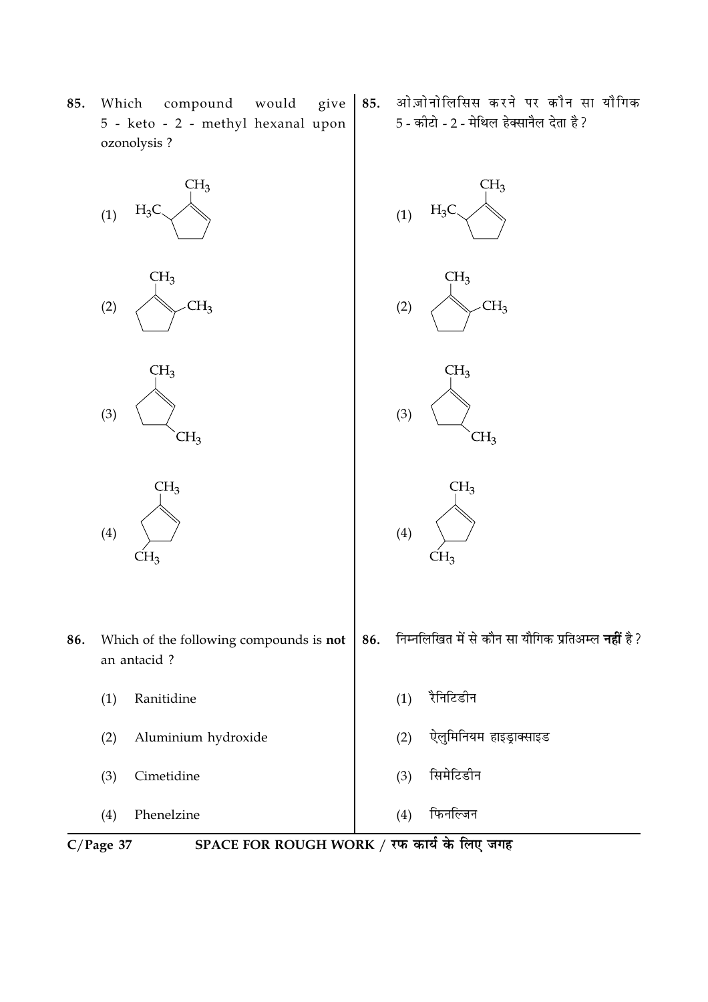

85.

ओज़ोनोलिसिस करने पर कौन सा यौगिक

5 - कीटो - 2 - मेथिल हेक्सानैल देता है ?

85. Which compound would give 5 - keto - 2 - methyl hexanal upon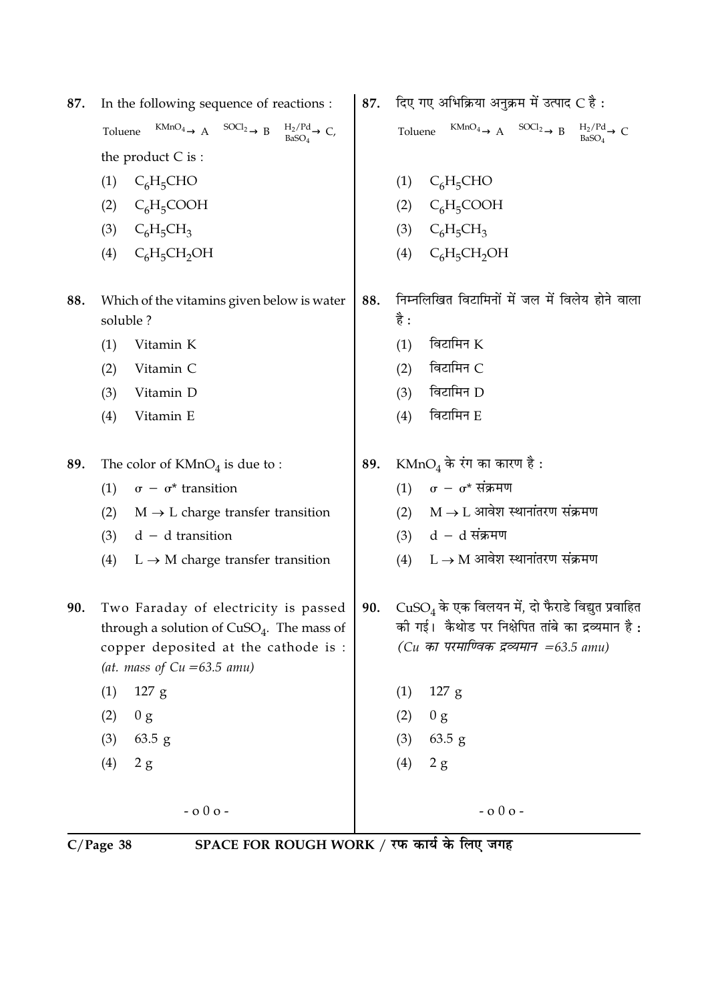|  | 87. In the following sequence of reactions : |
|--|----------------------------------------------|
|--|----------------------------------------------|

Toluene  $\xrightarrow{\text{KMnO}_4} A \xrightarrow{\text{SOC}_2} B \xrightarrow{\text{H}_2/\text{Pd}} C$ the product  $C$  is :

- $(1)$  C<sub>6</sub>H<sub>5</sub>CHO
- (2)  $C_6H_5COOH$
- (3)  $C_6H_5CH_3$
- (4)  $C_6H_5CH_2OH$
- 88. Which of the vitamins given below is water soluble?
	- $(1)$ Vitamin K
	- Vitamin C  $(2)$
	- $(3)$ Vitamin D
	- $(4)$ Vitamin E
- 89. The color of  $KMnO<sub>4</sub>$  is due to :
	- (1)  $\sigma \sigma^*$  transition
	- (2)  $M \rightarrow L$  charge transfer transition
	- $(3)$  d d transition
	- (4)  $L \rightarrow M$  charge transfer transition
- 90. Two Faraday of electricity is passed through a solution of  $CuSO<sub>4</sub>$ . The mass of copper deposited at the cathode is : (at. mass of  $Cu = 63.5$  amu)

 $-000-$ 

- $(1)$  $127$  g
- $(2)$  0 g
- $63.5 g$  $(3)$
- $(4)$  2 g

 $C/Page$  38

- 89.
	-
	- (4)  $L \rightarrow M$  आवेश स्थानांतरण संक्रमण
	- $CuSO<sub>4</sub>$  के एक विलयन में, दो फैराडे विद्युत प्रवाहित 90. की गई। कैथोड पर निक्षेपित तांबे का द्रव्यमान है: (Cu का परमाण्विक द्रव्यमान =63.5 amu)

 $-000-$ 

- $(1)$  127 g
- $(2)$  $0 g$
- $(3)$  63.5 g
- $(4)$  $2g$

SPACE FOR ROUGH WORK / रफ कार्य के लिए जगह

दिए गए अभिक्रिया अनुक्रम में उत्पाद C है: 87.

Toluene  $\xrightarrow{\text{KMnO}_4} A \xrightarrow{\text{SOCl}_2} B \xrightarrow{\text{H}_2/\text{Pd}} C$ 

- $(1)$  C<sub>6</sub>H<sub>5</sub>CHO
- (2)  $C_6H_5COOH$
- $C_6H_5CH_3$  $(3)$
- $C_6H_5CH_2OH$  $(4)$
- निम्नलिखित विटामिनों में जल में विलेय होने वाला 88. है :
	- $(1)$  विटामिन  $K$
	- विटामिन C  $(2)$
	- विटामिन D  $(3)$
	- विटामिन E  $(4)$
- $\text{KMnO}_4$  के रंग का कारण है:
	- (1)  $\sigma \sigma^*$  संक्रमण
	- (2)  $M \rightarrow L$  आवेश स्थानांतरण संक्रमण
	- $(3)$  d d संक्रमण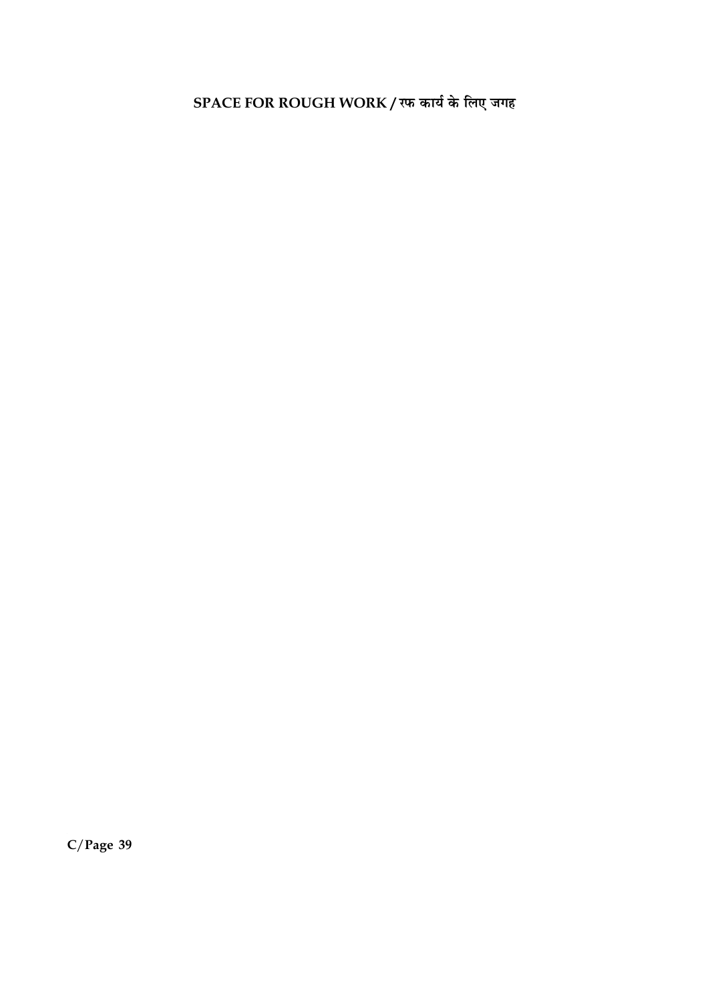SPACE FOR ROUGH WORK / रफ कार्य के लिए जगह

 $C/Page$  39